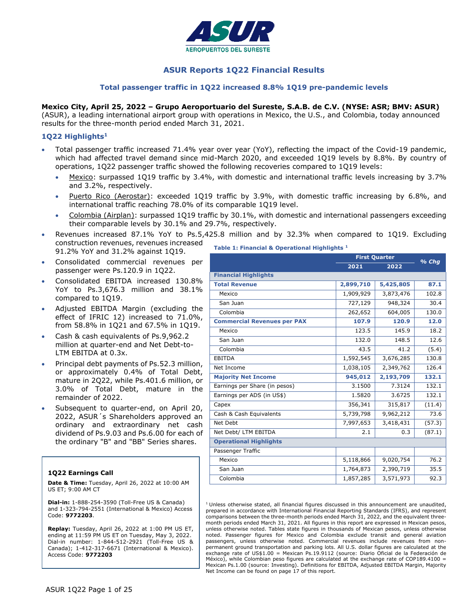

# **ASUR Reports 1Q22 Financial Results**

#### **Total passenger traffic in 1Q22 increased 8.8% 1Q19 pre-pandemic levels**

#### **Mexico City, April 25, 2022 – Grupo Aeroportuario del Sureste, S.A.B. de C.V. (NYSE: ASR; BMV: ASUR)**

(ASUR), a leading international airport group with operations in Mexico, the U.S., and Colombia, today announced results for the three-month period ended March 31, 2021.

#### **1Q22 Highlights<sup>1</sup>**

- Total passenger traffic increased 71.4% year over year (YoY), reflecting the impact of the Covid-19 pandemic, which had affected travel demand since mid-March 2020, and exceeded 1Q19 levels by 8.8%. By country of operations, 1Q22 passenger traffic showed the following recoveries compared to 1Q19 levels:
	- Mexico: surpassed 1Q19 traffic by 3.4%, with domestic and international traffic levels increasing by 3.7% and 3.2%, respectively.
	- Puerto Rico (Aerostar): exceeded 1Q19 traffic by 3.9%, with domestic traffic increasing by 6.8%, and international traffic reaching 78.0% of its comparable 1Q19 level.
	- Colombia (Airplan): surpassed 1Q19 traffic by 30.1%, with domestic and international passengers exceeding their comparable levels by 30.1% and 29.7%, respectively.
- Revenues increased 87.1% YoY to Ps.5,425.8 million and by 32.3% when compared to 1Q19. Excluding construction revenues, revenues increased 91.2% YoY and 31.2% against 1Q19. **Table 1: Financial & Operational Highlights <sup>1</sup>**
- Consolidated commercial revenues per passenger were Ps.120.9 in 1Q22.
- Consolidated EBITDA increased 130.8% YoY to Ps.3,676.3 million and 38.1% compared to 1Q19.
- Adjusted EBITDA Margin (excluding the effect of IFRIC 12) increased to 71.0%, from 58.8% in 1Q21 and 67.5% in 1Q19.
- Cash & cash equivalents of Ps.9,962.2 million at quarter-end and Net Debt-to-LTM EBITDA at 0.3x.
- Principal debt payments of Ps.52.3 million, or approximately 0.4% of Total Debt, mature in 2Q22, while Ps.401.6 million, or 3.0% of Total Debt, mature in the remainder of 2022.
- Subsequent to quarter-end, on April 20, 2022, ASUR´s Shareholders approved an ordinary and extraordinary net cash dividend of Ps.9.03 and Ps.6.00 for each of the ordinary "B" and "BB" Series shares.

#### **1Q22 Earnings Call**

**Date & Time:** Tuesday, April 26, 2022 at 10:00 AM US ET; 9:00 AM CT

**Dial-in:** 1-888-254-3590 (Toll-Free US & Canada) and 1-323-794-2551 (International & Mexico) Access Code: **9772203**.

**Replay:** Tuesday, April 26, 2022 at 1:00 PM US ET, ending at 11:59 PM US ET on Tuesday, May 3, 2022. Dial-in number: 1-844-512-2921 (Toll-Free US & Canada); 1-412-317-6671 (International & Mexico). Access Code: **9772203**

|                                    | <b>First Quarter</b> | % Chq     |        |
|------------------------------------|----------------------|-----------|--------|
|                                    | 2021                 | 2022      |        |
| <b>Financial Highlights</b>        |                      |           |        |
| <b>Total Revenue</b>               | 2,899,710            | 5,425,805 | 87.1   |
| Mexico                             | 1,909,929            | 3,873,476 | 102.8  |
| San Juan                           | 727,129              | 948,324   | 30.4   |
| Colombia                           | 262,652              | 604,005   | 130.0  |
| <b>Commercial Revenues per PAX</b> | 107.9                | 120.9     | 12.0   |
| Mexico                             | 123.5                | 145.9     | 18.2   |
| San Juan                           | 132.0                | 148.5     | 12.6   |
| Colombia                           | 43.5                 | 41.2      | (5.4)  |
| <b>EBITDA</b>                      | 1,592,545            | 3,676,285 | 130.8  |
| Net Income                         | 1,038,105            | 2,349,762 | 126.4  |
| <b>Majority Net Income</b>         | 945,012              | 2,193,709 | 132.1  |
| Earnings per Share (in pesos)      | 3.1500               | 7.3124    | 132.1  |
| Earnings per ADS (in US\$)         | 1.5820               | 3.6725    | 132.1  |
| Capex                              | 356,341              | 315,817   | (11.4) |
| Cash & Cash Equivalents            | 5,739,798            | 9,962,212 | 73.6   |
| Net Debt                           | 7,997,653            | 3,418,431 | (57.3) |
| Net Debt/ LTM EBITDA               | 2.1                  | 0.3       | (87.1) |
| <b>Operational Highlights</b>      |                      |           |        |
| Passenger Traffic                  |                      |           |        |
| Mexico                             | 5,118,866            | 9,020,754 | 76.2   |
| San Juan                           | 1,764,873            | 2,390,719 | 35.5   |
| Colombia                           | 1,857,285            | 3,571,973 | 92.3   |

 $<sup>1</sup>$  Unless otherwise stated, all financial figures discussed in this announcement are unaudited,</sup> prepared in accordance with International Financial Reporting Standards (IFRS), and represent comparisons between the three-month periods ended March 31, 2022, and the equivalent threemonth periods ended March 31, 2021. All figures in this report are expressed in Mexican pesos, unless otherwise noted. Tables state figures in thousands of Mexican pesos, unless otherwise noted. Passenger figures for Mexico and Colombia exclude transit and general aviation passengers, unless otherwise noted. Commercial revenues include revenues from nonpermanent ground transportation and parking lots. All U.S. dollar figures are calculated at the exchange rate of US\$1.00 = Mexican Ps.19.9112 (source: Diario Oficial de la Federación de México), while Colombian peso figures are calculated at the exchange rate of COP189.4100 = Mexican Ps.1.00 (source: Investing). Definitions for EBITDA, Adjusted EBITDA Margin, Majority Net Income can be found on page 17 of this report.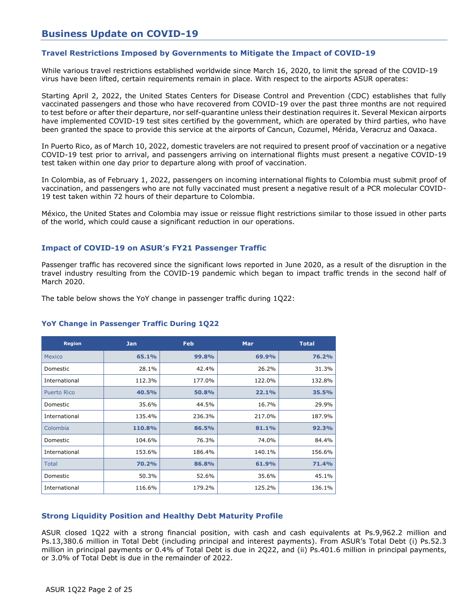# **Business Update on COVID-19**

### **Travel Restrictions Imposed by Governments to Mitigate the Impact of COVID-19**

While various travel restrictions established worldwide since March 16, 2020, to limit the spread of the COVID-19 virus have been lifted, certain requirements remain in place. With respect to the airports ASUR operates:

Starting April 2, 2022, the United States Centers for Disease Control and Prevention (CDC) establishes that fully vaccinated passengers and those who have recovered from COVID-19 over the past three months are not required to test before or after their departure, nor self-quarantine unless their destination requires it. Several Mexican airports have implemented COVID-19 test sites certified by the government, which are operated by third parties, who have been granted the space to provide this service at the airports of Cancun, Cozumel, Mérida, Veracruz and Oaxaca.

In Puerto Rico, as of March 10, 2022, domestic travelers are not required to present proof of vaccination or a negative COVID-19 test prior to arrival, and passengers arriving on international flights must present a negative COVID-19 test taken within one day prior to departure along with proof of vaccination.

In Colombia, as of February 1, 2022, passengers on incoming international flights to Colombia must submit proof of vaccination, and passengers who are not fully vaccinated must present a negative result of a PCR molecular COVID-19 test taken within 72 hours of their departure to Colombia.

México, the United States and Colombia may issue or reissue flight restrictions similar to those issued in other parts of the world, which could cause a significant reduction in our operations.

#### **Impact of COVID-19 on ASUR's FY21 Passenger Traffic**

Passenger traffic has recovered since the significant lows reported in June 2020, as a result of the disruption in the travel industry resulting from the COVID-19 pandemic which began to impact traffic trends in the second half of March 2020.

The table below shows the YoY change in passenger traffic during 1Q22:

# **Region Jan Feb Mar Total** Mexico **65.1% 99.8% 69.9% 76.2%** Domestic 28.1% 42.4% 26.2% 31.3% International 112.3% 177.0% 122.0% 132.8% Puerto Rico **40.5% 50.8% 22.1% 35.5%** Domestic 35.6% 44.5% 16.7% 29.9% International 135.4% 236.3% 217.0% 187.9% Colombia **110.8% 86.5% 81.1% 92.3%** Domestic 104.6% 76.3% 74.0% 84.4% International 153.6% 186.4% 140.1% 156.6% Total **70.2% 86.8% 61.9% 71.4%** Domestic 50.3% 52.6% 35.6% 45.1% International 116.6% 179.2% 125.2% 136.1%

#### **YoY Change in Passenger Traffic During 1Q22**

#### **Strong Liquidity Position and Healthy Debt Maturity Profile**

ASUR closed 1Q22 with a strong financial position, with cash and cash equivalents at Ps.9,962.2 million and Ps.13,380.6 million in Total Debt (including principal and interest payments). From ASUR's Total Debt (i) Ps.52.3 million in principal payments or 0.4% of Total Debt is due in 2Q22, and (ii) Ps.401.6 million in principal payments, or 3.0% of Total Debt is due in the remainder of 2022.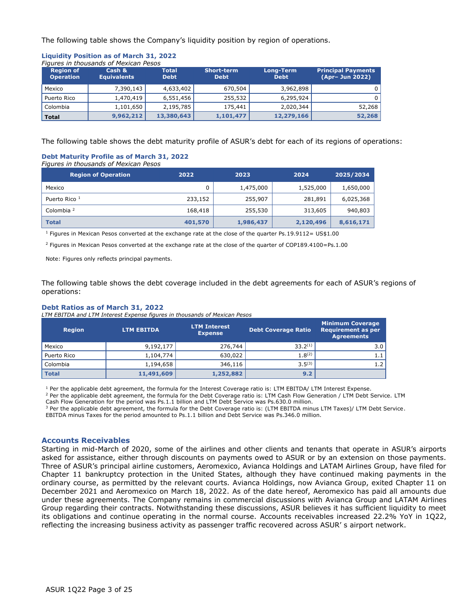The following table shows the Company's liquidity position by region of operations.

#### **Liquidity Position as of March 31, 2022** *Figures in thousands of Mexican Pesos*

| <b>Region of</b><br><b>Operation</b> | Cash &<br><b>Equivalents</b> | <b>Total</b><br><b>Debt</b> | <b>Short-term</b><br><b>Debt</b> | Long-Term<br><b>Debt</b> | <b>Principal Payments</b><br>(Apr- Jun 2022) |
|--------------------------------------|------------------------------|-----------------------------|----------------------------------|--------------------------|----------------------------------------------|
| Mexico                               | 7,390,143                    | 4,633,402                   | 670,504                          | 3,962,898                | $\Omega$                                     |
| Puerto Rico                          | 1,470,419                    | 6,551,456                   | 255,532                          | 6,295,924                | $\Omega$                                     |
| Colombia                             | 1,101,650                    | 2,195,785                   | 175,441                          | 2,020,344                | 52,268                                       |
| <b>Total</b>                         | 9,962,212                    | 13,380,643                  | 1,101,477                        | 12,279,166               | 52,268                                       |

The following table shows the debt maturity profile of ASUR's debt for each of its regions of operations:

#### **Debt Maturity Profile as of March 31, 2022**  *Figures in thousands of Mexican Pesos*

| <b>Region of Operation</b> | 2022    | 2023      | 2024      | 2025/2034 |
|----------------------------|---------|-----------|-----------|-----------|
| Mexico                     | 0       | 1,475,000 | 1,525,000 | 1,650,000 |
| Puerto Rico <sup>1</sup>   | 233,152 | 255,907   | 281,891   | 6,025,368 |
| Colombia <sup>2</sup>      | 168,418 | 255,530   | 313,605   | 940,803   |
| <b>Total</b>               | 401,570 | 1,986,437 | 2,120,496 | 8,616,171 |

<sup>1</sup> Figures in Mexican Pesos converted at the exchange rate at the close of the quarter Ps.19.9112= US\$1.00

<sup>2</sup> Figures in Mexican Pesos converted at the exchange rate at the close of the quarter of COP189.4100=Ps.1.00

Note: Figures only reflects principal payments.

The following table shows the debt coverage included in the debt agreements for each of ASUR's regions of operations:

#### **Debt Ratios as of March 31, 2022**

*LTM EBITDA and LTM Interest Expense figures in thousands of Mexican Pesos* 

| <b>Region</b> | <b>LTM EBITDA</b> | <b>LTM Interest</b><br><b>Expense</b> | Debt Coverage Ratio | <b>Minimum Coverage</b><br><b>Requirement as per</b><br><b>Agreements</b> |
|---------------|-------------------|---------------------------------------|---------------------|---------------------------------------------------------------------------|
| Mexico        | 9,192,177         | 276,744                               | $33.2^{(1)}$        | 3.0                                                                       |
| Puerto Rico   | 1,104,774         | 630,022                               | $1.8^{(2)}$         | 1.1                                                                       |
| l Colombia    | 1,194,658         | 346,116                               | $3.5^{(3)}$         | 1.2                                                                       |
| <b>Total</b>  | 11,491,609        | 1,252,882                             | 9.2                 |                                                                           |

<sup>1</sup> Per the applicable debt agreement, the formula for the Interest Coverage ratio is: LTM EBITDA/ LTM Interest Expense.

<sup>2</sup> Per the applicable debt agreement, the formula for the Debt Coverage ratio is: LTM Cash Flow Generation / LTM Debt Service. LTM Cash Flow Generation for the period was Ps.1.1 billion and LTM Debt Service was Ps.630.0 million.

<sup>3</sup> Per the applicable debt agreement, the formula for the Debt Coverage ratio is: (LTM EBITDA minus LTM Taxes)/ LTM Debt Service.

EBITDA minus Taxes for the period amounted to Ps.1.1 billion and Debt Service was Ps.346.0 million.

#### **Accounts Receivables**

Starting in mid-March of 2020, some of the airlines and other clients and tenants that operate in ASUR's airports asked for assistance, either through discounts on payments owed to ASUR or by an extension on those payments. Three of ASUR's principal airline customers, Aeromexico, Avianca Holdings and LATAM Airlines Group, have filed for Chapter 11 bankruptcy protection in the United States, although they have continued making payments in the ordinary course, as permitted by the relevant courts. Avianca Holdings, now Avianca Group, exited Chapter 11 on December 2021 and Aeromexico on March 18, 2022. As of the date hereof, Aeromexico has paid all amounts due under these agreements. The Company remains in commercial discussions with Avianca Group and LATAM Airlines Group regarding their contracts. Notwithstanding these discussions, ASUR believes it has sufficient liquidity to meet its obligations and continue operating in the normal course. Accounts receivables increased 22.2% YoY in 1Q22, reflecting the increasing business activity as passenger traffic recovered across ASUR' s airport network.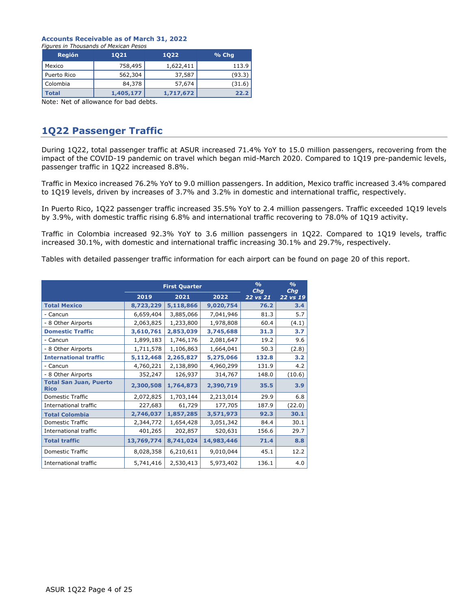#### **Accounts Receivable as of March 31, 2022**

| Figures in Thousands of Mexican Pesos |  |  |  |  |  |  |
|---------------------------------------|--|--|--|--|--|--|
|                                       |  |  |  |  |  |  |

| <b>Región</b> | 1021      | 1022      | % Chq  |
|---------------|-----------|-----------|--------|
| Mexico        | 758,495   | 1,622,411 | 113.9  |
| Puerto Rico   | 562,304   | 37,587    | (93.3) |
| Colombia      | 84,378    | 57,674    | (31.6) |
| <b>Total</b>  | 1,405,177 | 1,717,672 | 22.2   |

Note: Net of allowance for bad debts.

# **1Q22 Passenger Traffic**

During 1Q22, total passenger traffic at ASUR increased 71.4% YoY to 15.0 million passengers, recovering from the impact of the COVID-19 pandemic on travel which began mid-March 2020. Compared to 1Q19 pre-pandemic levels, passenger traffic in 1Q22 increased 8.8%.

Traffic in Mexico increased 76.2% YoY to 9.0 million passengers. In addition, Mexico traffic increased 3.4% compared to 1Q19 levels, driven by increases of 3.7% and 3.2% in domestic and international traffic, respectively.

In Puerto Rico, 1Q22 passenger traffic increased 35.5% YoY to 2.4 million passengers. Traffic exceeded 1Q19 levels by 3.9%, with domestic traffic rising 6.8% and international traffic recovering to 78.0% of 1Q19 activity.

Traffic in Colombia increased 92.3% YoY to 3.6 million passengers in 1Q22. Compared to 1Q19 levels, traffic increased 30.1%, with domestic and international traffic increasing 30.1% and 29.7%, respectively.

Tables with detailed passenger traffic information for each airport can be found on page 20 of this report.

|                                              | <b>First Quarter</b> |           |            | $\frac{0}{0}$<br>Chq | $\frac{0}{0}$<br>Chq |
|----------------------------------------------|----------------------|-----------|------------|----------------------|----------------------|
|                                              | 2019                 | 2021      | 2022       | 22 vs 21             | 22 vs 19             |
| <b>Total Mexico</b>                          | 8,723,229            | 5,118,866 | 9,020,754  | 76.2                 | 3.4                  |
| - Cancun                                     | 6,659,404            | 3,885,066 | 7,041,946  | 81.3                 | 5.7                  |
| - 8 Other Airports                           | 2,063,825            | 1,233,800 | 1,978,808  | 60.4                 | (4.1)                |
| <b>Domestic Traffic</b>                      | 3,610,761            | 2,853,039 | 3,745,688  | 31.3                 | 3.7                  |
| - Cancun                                     | 1,899,183            | 1,746,176 | 2,081,647  | 19.2                 | 9.6                  |
| - 8 Other Airports                           | 1,711,578            | 1,106,863 | 1,664,041  | 50.3                 | (2.8)                |
| <b>International traffic</b>                 | 5,112,468            | 2,265,827 | 5,275,066  | 132.8                | 3.2                  |
| - Cancun                                     | 4,760,221            | 2,138,890 | 4,960,299  | 131.9                | 4.2                  |
| - 8 Other Airports                           | 352,247              | 126,937   | 314,767    | 148.0                | (10.6)               |
| <b>Total San Juan, Puerto</b><br><b>Rico</b> | 2,300,508            | 1,764,873 | 2,390,719  | 35.5                 | 3.9                  |
| <b>Domestic Traffic</b>                      | 2,072,825            | 1,703,144 | 2,213,014  | 29.9                 | 6.8                  |
| International traffic                        | 227,683              | 61,729    | 177,705    | 187.9                | (22.0)               |
| <b>Total Colombia</b>                        | 2,746,037            | 1,857,285 | 3,571,973  | 92.3                 | 30.1                 |
| <b>Domestic Traffic</b>                      | 2,344,772            | 1,654,428 | 3,051,342  | 84.4                 | 30.1                 |
| International traffic                        | 401,265              | 202,857   | 520,631    | 156.6                | 29.7                 |
| <b>Total traffic</b>                         | 13,769,774           | 8,741,024 | 14,983,446 | 71.4                 | 8.8                  |
| <b>Domestic Traffic</b>                      | 8,028,358            | 6,210,611 | 9,010,044  | 45.1                 | 12.2                 |
| International traffic                        | 5,741,416            | 2,530,413 | 5,973,402  | 136.1                | 4.0                  |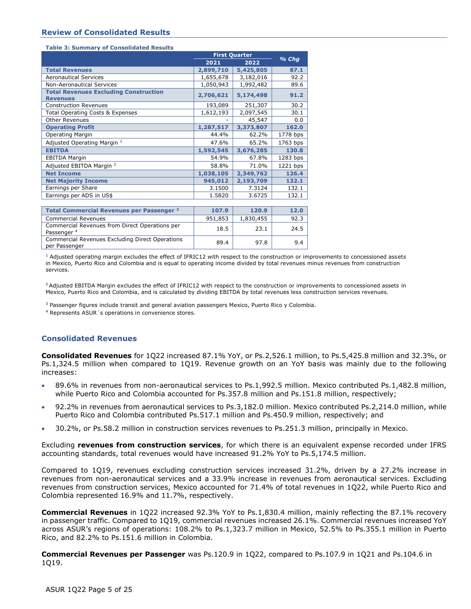#### **Review of Consolidated Results**

#### **Table 3: Summary of Consolidated Results**

|                                                                          | <b>First Quarter</b> | $%$ Chg   |          |
|--------------------------------------------------------------------------|----------------------|-----------|----------|
|                                                                          | 2021                 | 2022      |          |
| <b>Total Revenues</b>                                                    | 2,899,710            | 5,425,805 | 87.1     |
| <b>Aeronautical Services</b>                                             | 1,655,678            | 3,182,016 | 92.2     |
| <b>Non-Aeronautical Services</b>                                         | 1,050,943            | 1,992,482 | 89.6     |
| <b>Total Revenues Excluding Construction</b><br><b>Revenues</b>          | 2,706,621            | 5,174,498 | 91.2     |
| <b>Construction Revenues</b>                                             | 193,089              | 251,307   | 30.2     |
| <b>Total Operating Costs &amp; Expenses</b>                              | 1,612,193            | 2,097,545 | 30.1     |
| <b>Other Revenues</b>                                                    |                      | 45,547    | 0.0      |
| <b>Operating Profit</b>                                                  | 1,287,517            | 3,373,807 | 162.0    |
| Operating Margin                                                         | 44.4%                | 62.2%     | 1778 bps |
| Adjusted Operating Margin 1                                              | 47.6%                | 65.2%     | 1763 bps |
| <b>EBITDA</b>                                                            | 1,592,545            | 3,676,285 | 130.8    |
| <b>EBITDA Margin</b>                                                     | 54.9%                | 67.8%     | 1283 bps |
| Adjusted EBITDA Margin <sup>2</sup>                                      | 58.8%                | 71.0%     | 1221 bps |
| <b>Net Income</b>                                                        | 1,038,105            | 2,349,762 | 126.4    |
| <b>Net Majority Income</b>                                               | 945,012              | 2,193,709 | 132.1    |
| Earnings per Share                                                       | 3.1500               | 7.3124    | 132.1    |
| Earnings per ADS in US\$                                                 | 1.5820               | 3.6725    | 132.1    |
|                                                                          |                      |           |          |
| Total Commercial Revenues per Passenger <sup>3</sup>                     | 107.9                | 120.9     | 12.0     |
| <b>Commercial Revenues</b>                                               | 951,853              | 1,830,455 | 92.3     |
| Commercial Revenues from Direct Operations per<br>Passenger <sup>4</sup> | 18.5                 | 23.1      | 24.5     |

 $1$  Adjusted operating margin excludes the effect of IFRIC12 with respect to the construction or improvements to concessioned assets in Mexico, Puerto Rico and Colombia and is equal to operating income divided by total revenues minus revenues from construction services.

<sup>2</sup> Adjusted EBITDA Margin excludes the effect of IFRIC12 with respect to the construction or improvements to concessioned assets in Mexico, Puerto Rico and Colombia, and is calculated by dividing EBITDA by total revenues less construction services revenues.

<sup>3</sup> Passenger figures include transit and general aviation passengers Mexico, Puerto Rico y Colombia.

Commercial Revenues Excluding Direct Operations (189.4 189.8 1897) 9.4

<sup>4</sup> Represents ASUR´s operations in convenience stores.

#### **Consolidated Revenues**

**Consolidated Revenues** for 1Q22 increased 87.1% YoY, or Ps.2,526.1 million, to Ps.5,425.8 million and 32.3%, or Ps.1,324.5 million when compared to 1Q19. Revenue growth on an YoY basis was mainly due to the following increases:

- 89.6% in revenues from non-aeronautical services to Ps.1,992.5 million. Mexico contributed Ps.1,482.8 million, while Puerto Rico and Colombia accounted for Ps.357.8 million and Ps.151.8 million, respectively;
- 92.2% in revenues from aeronautical services to Ps.3,182.0 million. Mexico contributed Ps.2,214.0 million, while Puerto Rico and Colombia contributed Ps.517.1 million and Ps.450.9 million, respectively; and
- 30.2%, or Ps.58.2 million in construction services revenues to Ps.251.3 million, principally in Mexico.

Excluding **revenues from construction services**, for which there is an equivalent expense recorded under IFRS accounting standards, total revenues would have increased 91.2% YoY to Ps.5,174.5 million.

Compared to 1Q19, revenues excluding construction services increased 31.2%, driven by a 27.2% increase in revenues from non-aeronautical services and a 33.9% increase in revenues from aeronautical services. Excluding revenues from construction services, Mexico accounted for 71.4% of total revenues in 1Q22, while Puerto Rico and Colombia represented 16.9% and 11.7%, respectively.

**Commercial Revenues** in 1Q22 increased 92.3% YoY to Ps.1,830.4 million, mainly reflecting the 87.1% recovery in passenger traffic. Compared to 1Q19, commercial revenues increased 26.1%. Commercial revenues increased YoY across ASUR's regions of operations: 108.2% to Ps.1,323.7 million in Mexico, 52.5% to Ps.355.1 million in Puerto Rico, and 82.2% to Ps.151.6 million in Colombia.

**Commercial Revenues per Passenger** was Ps.120.9 in 1Q22, compared to Ps.107.9 in 1Q21 and Ps.104.6 in 1Q19.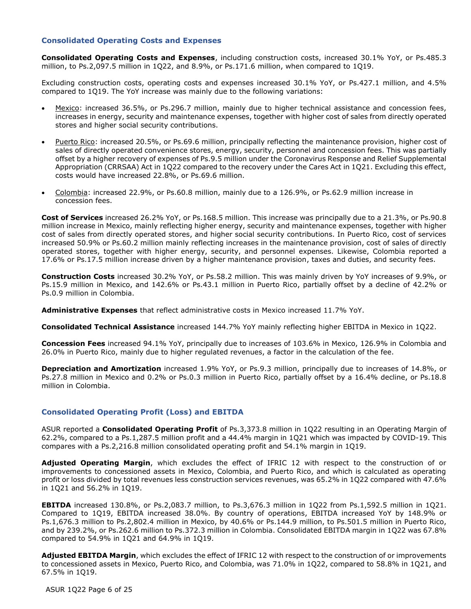#### **Consolidated Operating Costs and Expenses**

**Consolidated Operating Costs and Expenses**, including construction costs, increased 30.1% YoY, or Ps.485.3 million, to Ps.2,097.5 million in 1Q22, and 8.9%, or Ps.171.6 million, when compared to 1Q19.

Excluding construction costs, operating costs and expenses increased 30.1% YoY, or Ps.427.1 million, and 4.5% compared to 1Q19. The YoY increase was mainly due to the following variations:

- Mexico: increased 36.5%, or Ps.296.7 million, mainly due to higher technical assistance and concession fees, increases in energy, security and maintenance expenses, together with higher cost of sales from directly operated stores and higher social security contributions.
- Puerto Rico: increased 20.5%, or Ps.69.6 million, principally reflecting the maintenance provision, higher cost of sales of directly operated convenience stores, energy, security, personnel and concession fees. This was partially offset by a higher recovery of expenses of Ps.9.5 million under the Coronavirus Response and Relief Supplemental Appropriation (CRRSAA) Act in 1Q22 compared to the recovery under the Cares Act in 1Q21. Excluding this effect, costs would have increased 22.8%, or Ps.69.6 million.
- Colombia: increased 22.9%, or Ps.60.8 million, mainly due to a 126.9%, or Ps.62.9 million increase in concession fees.

**Cost of Services** increased 26.2% YoY, or Ps.168.5 million. This increase was principally due to a 21.3%, or Ps.90.8 million increase in Mexico, mainly reflecting higher energy, security and maintenance expenses, together with higher cost of sales from directly operated stores, and higher social security contributions. In Puerto Rico, cost of services increased 50.9% or Ps.60.2 million mainly reflecting increases in the maintenance provision, cost of sales of directly operated stores, together with higher energy, security, and personnel expenses. Likewise, Colombia reported a 17.6% or Ps.17.5 million increase driven by a higher maintenance provision, taxes and duties, and security fees.

**Construction Costs** increased 30.2% YoY, or Ps.58.2 million. This was mainly driven by YoY increases of 9.9%, or Ps.15.9 million in Mexico, and 142.6% or Ps.43.1 million in Puerto Rico, partially offset by a decline of 42.2% or Ps.0.9 million in Colombia.

**Administrative Expenses** that reflect administrative costs in Mexico increased 11.7% YoY.

**Consolidated Technical Assistance** increased 144.7% YoY mainly reflecting higher EBITDA in Mexico in 1Q22.

**Concession Fees** increased 94.1% YoY, principally due to increases of 103.6% in Mexico, 126.9% in Colombia and 26.0% in Puerto Rico, mainly due to higher regulated revenues, a factor in the calculation of the fee.

**Depreciation and Amortization** increased 1.9% YoY, or Ps.9.3 million, principally due to increases of 14.8%, or Ps.27.8 million in Mexico and 0.2% or Ps.0.3 million in Puerto Rico, partially offset by a 16.4% decline, or Ps.18.8 million in Colombia.

#### **Consolidated Operating Profit (Loss) and EBITDA**

ASUR reported a **Consolidated Operating Profit** of Ps.3,373.8 million in 1Q22 resulting in an Operating Margin of 62.2%, compared to a Ps.1,287.5 million profit and a 44.4% margin in 1Q21 which was impacted by COVID-19. This compares with a Ps.2,216.8 million consolidated operating profit and 54.1% margin in 1Q19.

**Adjusted Operating Margin**, which excludes the effect of IFRIC 12 with respect to the construction of or improvements to concessioned assets in Mexico, Colombia, and Puerto Rico, and which is calculated as operating profit or loss divided by total revenues less construction services revenues, was 65.2% in 1Q22 compared with 47.6% in 1Q21 and 56.2% in 1Q19.

**EBITDA** increased 130.8%, or Ps.2,083.7 million, to Ps.3,676.3 million in 1Q22 from Ps.1,592.5 million in 1Q21. Compared to 1Q19, EBITDA increased 38.0%. By country of operations, EBITDA increased YoY by 148.9% or Ps.1,676.3 million to Ps.2,802.4 million in Mexico, by 40.6% or Ps.144.9 million, to Ps.501.5 million in Puerto Rico, and by 239.2%, or Ps.262.6 million to Ps.372.3 million in Colombia. Consolidated EBITDA margin in 1Q22 was 67.8% compared to 54.9% in 1Q21 and 64.9% in 1Q19.

**Adjusted EBITDA Margin**, which excludes the effect of IFRIC 12 with respect to the construction of or improvements to concessioned assets in Mexico, Puerto Rico, and Colombia, was 71.0% in 1Q22, compared to 58.8% in 1Q21, and 67.5% in 1Q19.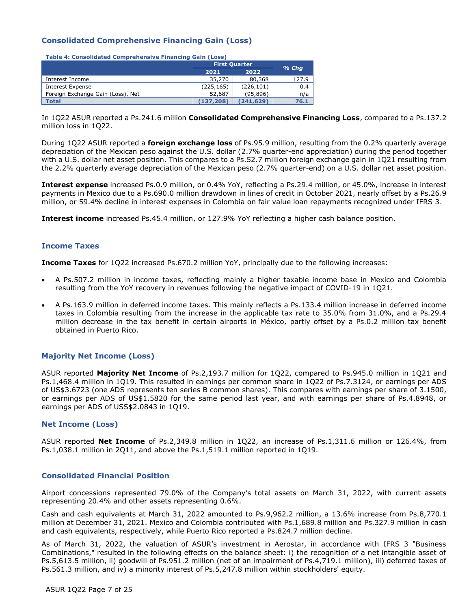# **Consolidated Comprehensive Financing Gain (Loss)**

**Table 4: Consolidated Comprehensive Financing Gain (Loss)**

|                                   | <b>First Quarter</b> |            |         |
|-----------------------------------|----------------------|------------|---------|
|                                   | 2021                 | 2022       | $%$ Chq |
| Interest Income                   | 35,270               | 80,368     | 127.9   |
| <b>Interest Expense</b>           | (225, 165)           | (226, 101) | 0.4     |
| Foreign Exchange Gain (Loss), Net | 52,687               | (95.896)   | n/a     |
| <b>Total</b>                      | (137, 208)           | (241, 629) | 76.1    |

In 1Q22 ASUR reported a Ps.241.6 million **Consolidated Comprehensive Financing Loss**, compared to a Ps.137.2 million loss in 1Q22.

During 1Q22 ASUR reported a **foreign exchange loss** of Ps.95.9 million, resulting from the 0.2% quarterly average depreciation of the Mexican peso against the U.S. dollar (2.7% quarter-end appreciation) during the period together with a U.S. dollar net asset position. This compares to a Ps.52.7 million foreign exchange gain in 1Q21 resulting from the 2.2% quarterly average depreciation of the Mexican peso (2.7% quarter-end) on a U.S. dollar net asset position.

**Interest expense** increased Ps.0.9 million, or 0.4% YoY, reflecting a Ps.29.4 million, or 45.0%, increase in interest payments in Mexico due to a Ps.690.0 million drawdown in lines of credit in October 2021, nearly offset by a Ps.26.9 million, or 59.4% decline in interest expenses in Colombia on fair value loan repayments recognized under IFRS 3.

**Interest income** increased Ps.45.4 million, or 127.9% YoY reflecting a higher cash balance position.

#### **Income Taxes**

**Income Taxes** for 1Q22 increased Ps.670.2 million YoY, principally due to the following increases:

- A Ps.507.2 million in income taxes, reflecting mainly a higher taxable income base in Mexico and Colombia resulting from the YoY recovery in revenues following the negative impact of COVID-19 in 1Q21.
- A Ps.163.9 million in deferred income taxes. This mainly reflects a Ps.133.4 million increase in deferred income taxes in Colombia resulting from the increase in the applicable tax rate to 35.0% from 31.0%, and a Ps.29.4 million decrease in the tax benefit in certain airports in México, partly offset by a Ps.0.2 million tax benefit obtained in Puerto Rico.

#### **Majority Net Income (Loss)**

ASUR reported **Majority Net Income** of Ps.2,193.7 million for 1Q22, compared to Ps.945.0 million in 1Q21 and Ps.1,468.4 million in 1Q19. This resulted in earnings per common share in 1Q22 of Ps.7.3124, or earnings per ADS of US\$3.6723 (one ADS represents ten series B common shares). This compares with earnings per share of 3.1500, or earnings per ADS of US\$1.5820 for the same period last year, and with earnings per share of Ps.4.8948, or earnings per ADS of USS\$2.0843 in 1Q19.

#### **Net Income (Loss)**

ASUR reported **Net Income** of Ps.2,349.8 million in 1Q22, an increase of Ps.1,311.6 million or 126.4%, from Ps.1,038.1 million in 2Q11, and above the Ps.1,519.1 million reported in 1Q19.

#### **Consolidated Financial Position**

Airport concessions represented 79.0% of the Company's total assets on March 31, 2022, with current assets representing 20.4% and other assets representing 0.6%.

Cash and cash equivalents at March 31, 2022 amounted to Ps.9,962.2 million, a 13.6% increase from Ps.8,770.1 million at December 31, 2021. Mexico and Colombia contributed with Ps.1,689.8 million and Ps.327.9 million in cash and cash equivalents, respectively, while Puerto Rico reported a Ps.824.7 million decline.

As of March 31, 2022, the valuation of ASUR's investment in Aerostar, in accordance with IFRS 3 "Business Combinations," resulted in the following effects on the balance sheet: i) the recognition of a net intangible asset of Ps.5,613.5 million, ii) goodwill of Ps.951.2 million (net of an impairment of Ps.4,719.1 million), iii) deferred taxes of Ps.561.3 million, and iv) a minority interest of Ps.5,247.8 million within stockholders' equity.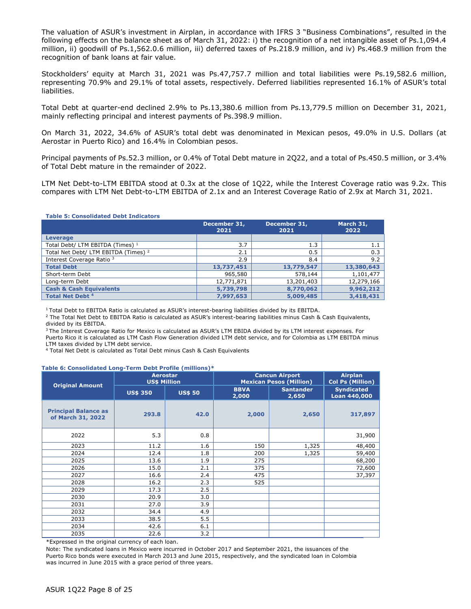The valuation of ASUR's investment in Airplan, in accordance with IFRS 3 "Business Combinations", resulted in the following effects on the balance sheet as of March 31, 2022: i) the recognition of a net intangible asset of Ps.1,094.4 million, ii) goodwill of Ps.1,562.0.6 million, iii) deferred taxes of Ps.218.9 million, and iv) Ps.468.9 million from the recognition of bank loans at fair value.

Stockholders' equity at March 31, 2021 was Ps.47,757.7 million and total liabilities were Ps.19,582.6 million, representing 70.9% and 29.1% of total assets, respectively. Deferred liabilities represented 16.1% of ASUR's total liabilities.

Total Debt at quarter-end declined 2.9% to Ps.13,380.6 million from Ps.13,779.5 million on December 31, 2021, mainly reflecting principal and interest payments of Ps.398.9 million.

On March 31, 2022, 34.6% of ASUR's total debt was denominated in Mexican pesos, 49.0% in U.S. Dollars (at Aerostar in Puerto Rico) and 16.4% in Colombian pesos.

Principal payments of Ps.52.3 million, or 0.4% of Total Debt mature in 2Q22, and a total of Ps.450.5 million, or 3.4% of Total Debt mature in the remainder of 2022.

LTM Net Debt-to-LTM EBITDA stood at 0.3x at the close of 1Q22, while the Interest Coverage ratio was 9.2x. This compares with LTM Net Debt-to-LTM EBITDA of 2.1x and an Interest Coverage Ratio of 2.9x at March 31, 2021.

|  | <b>Table 5: Consolidated Debt Indicators</b> |  |
|--|----------------------------------------------|--|
|  |                                              |  |

|                                                 | December 31,<br>2021 | December 31,<br>2021 | March 31,<br>2022 |
|-------------------------------------------------|----------------------|----------------------|-------------------|
| <b>Leverage</b>                                 |                      |                      |                   |
| Total Debt/ LTM EBITDA (Times) <sup>1</sup>     | 3.7                  | 1.3                  | 1.1               |
| Total Net Debt/ LTM EBITDA (Times) <sup>2</sup> | 2.1                  | 0.5                  | 0.3               |
| Interest Coverage Ratio 3                       | 2.9                  | 8.4                  | 9.2               |
| <b>Total Debt</b>                               | 13,737,451           | 13,779,547           | 13,380,643        |
| Short-term Debt                                 | 965,580              | 578,144              | 1,101,477         |
| Long-term Debt                                  | 12,771,871           | 13,201,403           | 12,279,166        |
| <b>Cash &amp; Cash Equivalents</b>              | 5,739,798            | 8,770,062            | 9,962,212         |
| <b>Total Net Debt 4</b>                         | 7,997,653            | 5,009,485            | 3,418,431         |

<sup>1</sup>Total Debt to EBITDA Ratio is calculated as ASUR's interest-bearing liabilities divided by its EBITDA.

<sup>2</sup> The Total Net Debt to EBITDA Ratio is calculated as ASUR's interest-bearing liabilities minus Cash & Cash Equivalents, divided by its EBITDA.

<sup>3</sup> The Interest Coverage Ratio for Mexico is calculated as ASUR's LTM EBIDA divided by its LTM interest expenses. For Puerto Rico it is calculated as LTM Cash Flow Generation divided LTM debt service, and for Colombia as LTM EBITDA minus LTM taxes divided by LTM debt service.

<sup>4</sup> Total Net Debt is calculated as Total Debt minus Cash & Cash Equivalents

#### **Table 6: Consolidated Long-Term Debt Profile (millions)\***

|                                                  | <b>Aerostar</b><br><b>US\$ Million</b> |                | <b>Cancun Airport</b><br><b>Mexican Pesos (Million)</b> | <b>Airplan</b><br><b>Col Ps (Million)</b> |                                   |
|--------------------------------------------------|----------------------------------------|----------------|---------------------------------------------------------|-------------------------------------------|-----------------------------------|
| <b>Original Amount</b>                           | <b>US\$ 350</b>                        | <b>US\$ 50</b> | <b>BBVA</b><br>2,000                                    | <b>Santander</b><br>2,650                 | <b>Syndicated</b><br>Loan 440,000 |
| <b>Principal Balance as</b><br>of March 31, 2022 | 293.8                                  | 42.0           | 2,000                                                   | 2,650                                     | 317,897                           |
| 2022                                             | 5.3                                    | 0.8            |                                                         |                                           | 31,900                            |
| 2023                                             | 11.2                                   | 1.6            | 150                                                     | 1,325                                     | 48,400                            |
| 2024                                             | 12.4                                   | 1.8            | 200                                                     | 1,325                                     | 59,400                            |
| 2025                                             | 13.6                                   | 1.9            | 275                                                     |                                           | 68,200                            |
| 2026                                             | 15.0                                   | 2.1            | 375                                                     |                                           | 72,600                            |
| 2027                                             | 16.6                                   | 2.4            | 475                                                     |                                           | 37,397                            |
| 2028                                             | 16.2                                   | 2.3            | 525                                                     |                                           |                                   |
| 2029                                             | 17.3                                   | 2.5            |                                                         |                                           |                                   |
| 2030                                             | 20.9                                   | 3.0            |                                                         |                                           |                                   |
| 2031                                             | 27.0                                   | 3.9            |                                                         |                                           |                                   |
| 2032                                             | 34.4                                   | 4.9            |                                                         |                                           |                                   |
| 2033                                             | 38.5                                   | 5.5            |                                                         |                                           |                                   |
| 2034                                             | 42.6                                   | 6.1            |                                                         |                                           |                                   |
| 2035                                             | 22.6                                   | 3.2            |                                                         |                                           |                                   |

\*Expressed in the original currency of each loan.

Note: The syndicated loans in Mexico were incurred in October 2017 and September 2021, the issuances of the Puerto Rico bonds were executed in March 2013 and June 2015, respectively, and the syndicated loan in Colombia was incurred in June 2015 with a grace period of three years.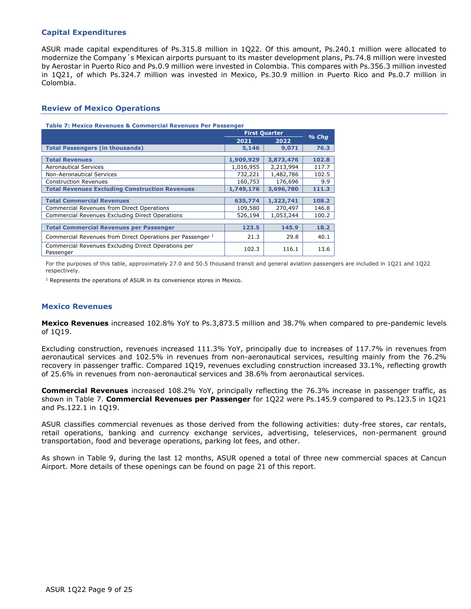#### **Capital Expenditures**

ASUR made capital expenditures of Ps.315.8 million in 1Q22. Of this amount, Ps.240.1 million were allocated to modernize the Company´s Mexican airports pursuant to its master development plans, Ps.74.8 million were invested by Aerostar in Puerto Rico and Ps.0.9 million were invested in Colombia. This compares with Ps.356.3 million invested in 1Q21, of which Ps.324.7 million was invested in Mexico, Ps.30.9 million in Puerto Rico and Ps.0.7 million in Colombia.

#### **Review of Mexico Operations**

#### **Table 7: Mexico Revenues & Commercial Revenues Per Passenger**

|                                                                  | <b>First Quarter</b> |           |         |
|------------------------------------------------------------------|----------------------|-----------|---------|
|                                                                  | 2021                 | 2022      | $%$ Chq |
| <b>Total Passengers (in thousands)</b>                           | 5,146                | 9,071     | 76.3    |
| <b>Total Revenues</b>                                            | 1,909,929            | 3,873,476 | 102.8   |
| <b>Aeronautical Services</b>                                     | 1,016,955            | 2,213,994 | 117.7   |
| <b>Non-Aeronautical Services</b>                                 | 732,221              | 1,482,786 | 102.5   |
| <b>Construction Revenues</b>                                     | 160,753              | 176,696   | 9.9     |
| <b>Total Revenues Excluding Construction Revenues</b>            | 1,749,176            | 3,696,780 | 111.3   |
| <b>Total Commercial Revenues</b>                                 |                      |           |         |
|                                                                  | 635,774              | 1,323,741 | 108.2   |
| Commercial Revenues from Direct Operations                       | 109,580              | 270,497   | 146.8   |
| <b>Commercial Revenues Excluding Direct Operations</b>           | 526,194              | 1,053,244 | 100.2   |
|                                                                  |                      |           |         |
| <b>Total Commercial Revenues per Passenger</b>                   | 123.5                | 145.9     | 18.2    |
| Commercial Revenues from Direct Operations per Passenger 1       | 21.3                 | 29.8      | 40.1    |
| Commercial Revenues Excluding Direct Operations per<br>Passenger | 102.3                | 116.1     | 13.6    |

For the purposes of this table, approximately 27.0 and 50.5 thousand transit and general aviation passengers are included in 1Q21 and 1Q22 respectively.

<sup>1</sup> Represents the operations of ASUR in its convenience stores in Mexico.

#### **Mexico Revenues**

**Mexico Revenues** increased 102.8% YoY to Ps.3,873.5 million and 38.7% when compared to pre-pandemic levels of 1Q19.

Excluding construction, revenues increased 111.3% YoY, principally due to increases of 117.7% in revenues from aeronautical services and 102.5% in revenues from non-aeronautical services, resulting mainly from the 76.2% recovery in passenger traffic. Compared 1Q19, revenues excluding construction increased 33.1%, reflecting growth of 25.6% in revenues from non-aeronautical services and 38.6% from aeronautical services.

**Commercial Revenues** increased 108.2% YoY, principally reflecting the 76.3% increase in passenger traffic, as shown in Table 7. **Commercial Revenues per Passenger** for 1Q22 were Ps.145.9 compared to Ps.123.5 in 1Q21 and Ps.122.1 in 1Q19.

ASUR classifies commercial revenues as those derived from the following activities: duty-free stores, car rentals, retail operations, banking and currency exchange services, advertising, teleservices, non-permanent ground transportation, food and beverage operations, parking lot fees, and other.

As shown in Table 9, during the last 12 months, ASUR opened a total of three new commercial spaces at Cancun Airport. More details of these openings can be found on page 21 of this report.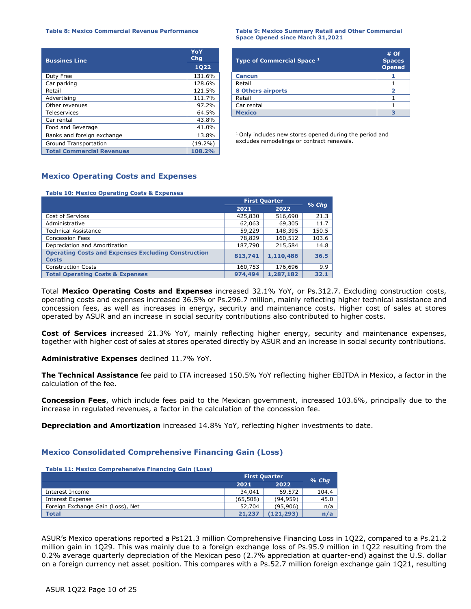| <b>Bussines Line</b>             | YoY<br><b>Chg</b> | Type of Commercial Space <sup>1</sup>                              | #<br><b>Spa</b> |
|----------------------------------|-------------------|--------------------------------------------------------------------|-----------------|
| <b>1Q22</b>                      |                   |                                                                    | Ope             |
| Duty Free                        | 131.6%            | <b>Cancun</b>                                                      |                 |
| Car parking                      | 128.6%            | Retail                                                             |                 |
| Retail                           | 121.5%            | 8 Others airports                                                  |                 |
| Advertising                      | 111.7%            | Retail                                                             |                 |
| Other revenues                   | 97.2%             | Car rental                                                         |                 |
| Teleservices                     | 64.5%             | <b>Mexico</b>                                                      |                 |
| Car rental                       | 43.8%             |                                                                    |                 |
| Food and Beverage                | 41.0%             |                                                                    |                 |
| Banks and foreign exchange       | 13.8%             | <sup>1</sup> Only includes new stores opened during the period and |                 |
| Ground Transportation            | $(19.2\%)$        | excludes remodelings or contract renewals.                         |                 |
| <b>Total Commercial Revenues</b> | 108.2%            |                                                                    |                 |

#### **Table 8: Mexico Commercial Revenue Performance Table 9: Mexico Summary Retail and Other Commercial Space Opened since March 31,2021**

| YoY<br><b>Chg</b><br>1022 | Type of Commercial Space 1 | $#$ Of<br><b>Spaces</b><br><b>Opened</b> |
|---------------------------|----------------------------|------------------------------------------|
| 131.6%                    | <b>Cancun</b>              |                                          |
| 128.6%                    | Retail                     |                                          |
| 121.5%                    | <b>8 Others airports</b>   |                                          |
| 111.7%                    | Retail                     |                                          |
| 97.2%                     | Car rental                 |                                          |
| 64.5%                     | <b>Mexico</b>              |                                          |

#### **Mexico Operating Costs and Expenses**

#### **Table 10: Mexico Operating Costs & Expenses**

|                                                                            | <b>First Quarter</b> |           | $%$ Chq |  |
|----------------------------------------------------------------------------|----------------------|-----------|---------|--|
|                                                                            | 2021                 | 2022      |         |  |
| Cost of Services                                                           | 425,830              | 516,690   | 21.3    |  |
| Administrative                                                             | 62,063               | 69,305    | 11.7    |  |
| Technical Assistance                                                       | 59,229               | 148,395   | 150.5   |  |
| <b>Concession Fees</b>                                                     | 78,829               | 160,512   | 103.6   |  |
| Depreciation and Amortization                                              | 187,790              | 215,584   | 14.8    |  |
| <b>Operating Costs and Expenses Excluding Construction</b><br><b>Costs</b> | 813,741              | 1,110,486 | 36.5    |  |
| <b>Construction Costs</b>                                                  | 160,753              | 176,696   | 9.9     |  |
| <b>Total Operating Costs &amp; Expenses</b>                                | 974,494              | 1,287,182 | 32.1    |  |

Total **Mexico Operating Costs and Expenses** increased 32.1% YoY, or Ps.312.7. Excluding construction costs, operating costs and expenses increased 36.5% or Ps.296.7 million, mainly reflecting higher technical assistance and concession fees, as well as increases in energy, security and maintenance costs. Higher cost of sales at stores operated by ASUR and an increase in social security contributions also contributed to higher costs.

**Cost of Services** increased 21.3% YoY, mainly reflecting higher energy, security and maintenance expenses, together with higher cost of sales at stores operated directly by ASUR and an increase in social security contributions.

**Administrative Expenses** declined 11.7% YoY.

**The Technical Assistance** fee paid to ITA increased 150.5% YoY reflecting higher EBITDA in Mexico, a factor in the calculation of the fee.

**Concession Fees**, which include fees paid to the Mexican government, increased 103.6%, principally due to the increase in regulated revenues, a factor in the calculation of the concession fee.

**Depreciation and Amortization** increased 14.8% YoY, reflecting higher investments to date.

#### **Mexico Consolidated Comprehensive Financing Gain (Loss)**

| <b>Table 11: Mexico Comprehensive Financing Gain (Loss)</b> |                      |           |         |
|-------------------------------------------------------------|----------------------|-----------|---------|
|                                                             | <b>First Quarter</b> |           |         |
|                                                             | 2021                 | 2022      | $%$ Chq |
| Interest Income                                             | 34,041               | 69,572    | 104.4   |
| Interest Expense                                            | (65,508)             | (94, 959) | 45.0    |
| Foreign Exchange Gain (Loss), Net                           | 52,704               | (95, 906) | n/a     |
| <b>Total</b>                                                | 21,237               | (121,293) | n/a     |

ASUR's Mexico operations reported a Ps121.3 million Comprehensive Financing Loss in 1Q22, compared to a Ps.21.2 million gain in 1Q29. This was mainly due to a foreign exchange loss of Ps.95.9 million in 1Q22 resulting from the 0.2% average quarterly depreciation of the Mexican peso (2.7% appreciation at quarter-end) against the U.S. dollar on a foreign currency net asset position. This compares with a Ps.52.7 million foreign exchange gain 1Q21, resulting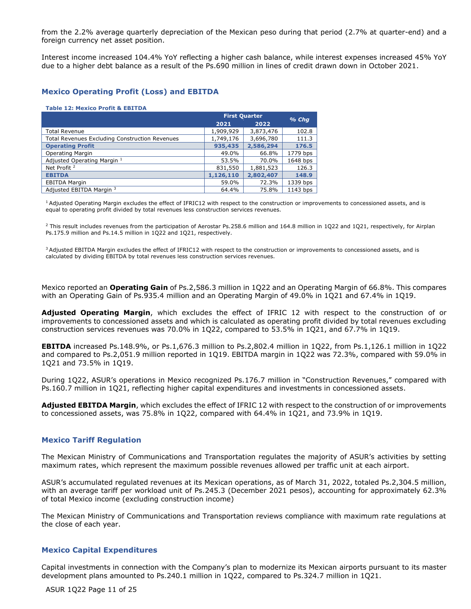from the 2.2% average quarterly depreciation of the Mexican peso during that period (2.7% at quarter-end) and a foreign currency net asset position.

Interest income increased 104.4% YoY reflecting a higher cash balance, while interest expenses increased 45% YoY due to a higher debt balance as a result of the Ps.690 million in lines of credit drawn down in October 2021.

#### **Mexico Operating Profit (Loss) and EBITDA**

#### **Table 12: Mexico Profit & EBITDA**

|                                                       | <b>First Quarter</b> |           | $%$ Chq  |  |
|-------------------------------------------------------|----------------------|-----------|----------|--|
|                                                       | 2021                 | 2022      |          |  |
| <b>Total Revenue</b>                                  | 1,909,929            | 3,873,476 | 102.8    |  |
| <b>Total Revenues Excluding Construction Revenues</b> | 1,749,176            | 3,696,780 | 111.3    |  |
| <b>Operating Profit</b>                               | 935,435              | 2,586,294 | 176.5    |  |
| <b>Operating Margin</b>                               | 49.0%                | 66.8%     | 1779 bps |  |
| Adjusted Operating Margin 1                           | 53.5%                | 70.0%     | 1648 bps |  |
| Net Profit <sup>2</sup>                               | 831,550              | 1,881,523 | 126.3    |  |
| <b>EBITDA</b>                                         | 1,126,110            | 2,802,407 | 148.9    |  |
| <b>EBITDA Margin</b>                                  | 59.0%                | 72.3%     | 1339 bps |  |
| Adjusted EBITDA Margin 3                              | 64.4%                | 75.8%     | 1143 bps |  |

<sup>1</sup> Adjusted Operating Margin excludes the effect of IFRIC12 with respect to the construction or improvements to concessioned assets, and is equal to operating profit divided by total revenues less construction services revenues.

<sup>2</sup> This result includes revenues from the participation of Aerostar Ps.258.6 million and 164.8 million in 1Q22 and 1Q21, respectively, for Airplan Ps.175.9 million and Ps.14.5 million in 1Q22 and 1Q21, respectively.

<sup>3</sup> Adjusted EBITDA Margin excludes the effect of IFRIC12 with respect to the construction or improvements to concessioned assets, and is calculated by dividing EBITDA by total revenues less construction services revenues.

Mexico reported an **Operating Gain** of Ps.2,586.3 million in 1Q22 and an Operating Margin of 66.8%. This compares with an Operating Gain of Ps.935.4 million and an Operating Margin of 49.0% in 1Q21 and 67.4% in 1Q19.

**Adjusted Operating Margin**, which excludes the effect of IFRIC 12 with respect to the construction of or improvements to concessioned assets and which is calculated as operating profit divided by total revenues excluding construction services revenues was 70.0% in 1Q22, compared to 53.5% in 1Q21, and 67.7% in 1Q19.

**EBITDA** increased Ps.148.9%, or Ps.1,676.3 million to Ps.2,802.4 million in 1Q22, from Ps.1,126.1 million in 1Q22 and compared to Ps.2,051.9 million reported in 1Q19. EBITDA margin in 1Q22 was 72.3%, compared with 59.0% in 1Q21 and 73.5% in 1Q19.

During 1Q22, ASUR's operations in Mexico recognized Ps.176.7 million in "Construction Revenues," compared with Ps.160.7 million in 1Q21, reflecting higher capital expenditures and investments in concessioned assets.

**Adjusted EBITDA Margin**, which excludes the effect of IFRIC 12 with respect to the construction of or improvements to concessioned assets, was 75.8% in 1Q22, compared with 64.4% in 1Q21, and 73.9% in 1Q19.

#### **Mexico Tariff Regulation**

The Mexican Ministry of Communications and Transportation regulates the majority of ASUR's activities by setting maximum rates, which represent the maximum possible revenues allowed per traffic unit at each airport.

ASUR's accumulated regulated revenues at its Mexican operations, as of March 31, 2022, totaled Ps.2,304.5 million, with an average tariff per workload unit of Ps.245.3 (December 2021 pesos), accounting for approximately 62.3% of total Mexico income (excluding construction income)

The Mexican Ministry of Communications and Transportation reviews compliance with maximum rate regulations at the close of each year.

#### **Mexico Capital Expenditures**

Capital investments in connection with the Company's plan to modernize its Mexican airports pursuant to its master development plans amounted to Ps.240.1 million in 1Q22, compared to Ps.324.7 million in 1Q21.

ASUR 1Q22 Page 11 of 25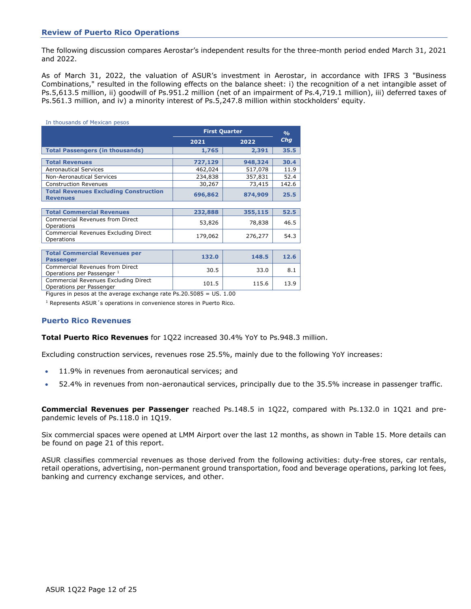#### **Review of Puerto Rico Operations**

The following discussion compares Aerostar's independent results for the three-month period ended March 31, 2021 and 2022.

As of March 31, 2022, the valuation of ASUR's investment in Aerostar, in accordance with IFRS 3 "Business Combinations," resulted in the following effects on the balance sheet: i) the recognition of a net intangible asset of Ps.5,613.5 million, ii) goodwill of Ps.951.2 million (net of an impairment of Ps.4,719.1 million), iii) deferred taxes of Ps.561.3 million, and iv) a minority interest of Ps.5,247.8 million within stockholders' equity.

| In thousands of Mexican pesos                                        |                      |         |               |  |
|----------------------------------------------------------------------|----------------------|---------|---------------|--|
|                                                                      | <b>First Quarter</b> |         | $\frac{9}{6}$ |  |
|                                                                      | 2021                 | 2022    | Chg           |  |
| <b>Total Passengers (in thousands)</b>                               | 1,765                | 2,391   | 35.5          |  |
| <b>Total Revenues</b>                                                | 727,129              | 948,324 | 30.4          |  |
| <b>Aeronautical Services</b>                                         | 462,024              | 517,078 | 11.9          |  |
| <b>Non-Aeronautical Services</b>                                     | 234,838              | 357,831 | 52.4          |  |
| <b>Construction Revenues</b>                                         | 30,267               | 73,415  | 142.6         |  |
| <b>Total Revenues Excluding Construction</b><br><b>Revenues</b>      | 696,862              | 874,909 | 25.5          |  |
|                                                                      |                      |         |               |  |
| <b>Total Commercial Revenues</b>                                     | 232,888              | 355,115 | 52.5          |  |
| <b>Commercial Revenues from Direct</b><br>Operations                 | 53,826               | 78,838  | 46.5          |  |
| Commercial Revenues Excluding Direct<br>Operations                   | 179,062              | 276,277 | 54.3          |  |
|                                                                      |                      |         |               |  |
| <b>Total Commercial Revenues per</b><br><b>Passenger</b>             | 132.0                | 148.5   | 12.6          |  |
| <b>Commercial Revenues from Direct</b><br>Operations per Passenger 1 | 30.5                 | 33.0    | 8.1           |  |
| Commercial Revenues Excluding Direct<br>Operations per Passenger     | 101.5                | 115.6   | 13.9          |  |

Figures in pesos at the average exchange rate Ps.20.5085 = US. 1.00

<sup>1</sup> Represents ASUR 's operations in convenience stores in Puerto Rico.

#### **Puerto Rico Revenues**

**Total Puerto Rico Revenues** for 1Q22 increased 30.4% YoY to Ps.948.3 million.

Excluding construction services, revenues rose 25.5%, mainly due to the following YoY increases:

- 11.9% in revenues from aeronautical services; and
- 52.4% in revenues from non-aeronautical services, principally due to the 35.5% increase in passenger traffic.

**Commercial Revenues per Passenger** reached Ps.148.5 in 1Q22, compared with Ps.132.0 in 1Q21 and prepandemic levels of Ps.118.0 in 1Q19.

Six commercial spaces were opened at LMM Airport over the last 12 months, as shown in Table 15. More details can be found on page 21 of this report.

ASUR classifies commercial revenues as those derived from the following activities: duty-free stores, car rentals, retail operations, advertising, non-permanent ground transportation, food and beverage operations, parking lot fees, banking and currency exchange services, and other.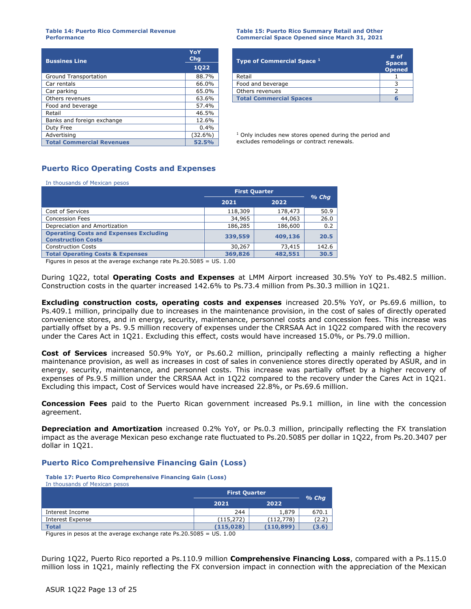#### **Table 14: Puerto Rico Commercial Revenue Performance**

| <b>Bussines Line</b>             | YoY<br>Chg | <b>Type of Commercial Space 1</b>                                  | #                        |  |
|----------------------------------|------------|--------------------------------------------------------------------|--------------------------|--|
| <b>1Q22</b>                      |            |                                                                    | <b>Spa</b><br><b>Ope</b> |  |
| Ground Transportation            | 88.7%      | Retail                                                             |                          |  |
| Car rentals                      | 66.0%      | Food and beverage                                                  |                          |  |
| Car parking                      | 65.0%      | Others revenues                                                    |                          |  |
| Others revenues                  | 63.6%      | <b>Total Commercial Spaces</b>                                     | 6                        |  |
| Food and beverage                | 57.4%      |                                                                    |                          |  |
| Retail                           | 46.5%      |                                                                    |                          |  |
| Banks and foreign exchange       | 12.6%      |                                                                    |                          |  |
| Duty Free                        | 0.4%       |                                                                    |                          |  |
| Advertising                      | $(32.6\%)$ | <sup>1</sup> Only includes new stores opened during the period and |                          |  |
| <b>Total Commercial Revenues</b> | 52.5%      | excludes remodelings or contract renewals.                         |                          |  |

#### **Table 15: Puerto Rico Summary Retail and Other Commercial Space Opened since March 31, 2021**

| .<br>Chq |  | Type of Commercial Space 1     | $#$ of                         |
|----------|--|--------------------------------|--------------------------------|
| 1022     |  |                                | <b>Spaces</b><br><b>Opened</b> |
| 88.7%    |  | Retail                         |                                |
| 66.0%    |  | Food and beverage              |                                |
| 65.0%    |  | Others revenues                |                                |
| 63.6%    |  | <b>Total Commercial Spaces</b> |                                |

# **Puerto Rico Operating Costs and Expenses**

In thousands of Mexican pesos

|                                                                            | <b>First Quarter</b> |         | $%$ Chq |
|----------------------------------------------------------------------------|----------------------|---------|---------|
|                                                                            | 2021                 | 2022    |         |
| Cost of Services                                                           | 118,309              | 178,473 | 50.9    |
| <b>Concession Fees</b>                                                     | 34,965               | 44,063  | 26.0    |
| Depreciation and Amortization                                              | 186,285              | 186,600 | 0.2     |
| <b>Operating Costs and Expenses Excluding</b><br><b>Construction Costs</b> | 339,559              | 409,136 | 20.5    |
| <b>Construction Costs</b>                                                  | 30,267               | 73,415  | 142.6   |
| <b>Total Operating Costs &amp; Expenses</b>                                | 369,826              | 482,551 | 30.5    |

Figures in pesos at the average exchange rate Ps.20.5085 = US. 1.00

During 1Q22, total **Operating Costs and Expenses** at LMM Airport increased 30.5% YoY to Ps.482.5 million. Construction costs in the quarter increased 142.6% to Ps.73.4 million from Ps.30.3 million in 1Q21.

**Excluding construction costs, operating costs and expenses** increased 20.5% YoY, or Ps.69.6 million, to Ps.409.1 million, principally due to increases in the maintenance provision, in the cost of sales of directly operated convenience stores, and in energy, security, maintenance, personnel costs and concession fees. This increase was partially offset by a Ps. 9.5 million recovery of expenses under the CRRSAA Act in 1Q22 compared with the recovery under the Cares Act in 1Q21. Excluding this effect, costs would have increased 15.0%, or Ps.79.0 million.

**Cost of Services** increased 50.9% YoY, or Ps.60.2 million, principally reflecting a mainly reflecting a higher maintenance provision, as well as increases in cost of sales in convenience stores directly operated by ASUR, and in energy, security, maintenance, and personnel costs. This increase was partially offset by a higher recovery of expenses of Ps.9.5 million under the CRRSAA Act in 1Q22 compared to the recovery under the Cares Act in 1Q21. Excluding this impact, Cost of Services would have increased 22.8%, or Ps.69.6 million.

**Concession Fees** paid to the Puerto Rican government increased Ps.9.1 million, in line with the concession agreement.

**Depreciation and Amortization** increased 0.2% YoY, or Ps.0.3 million, principally reflecting the FX translation impact as the average Mexican peso exchange rate fluctuated to Ps.20.5085 per dollar in 1Q22, from Ps.20.3407 per dollar in 1Q21.

#### **Puerto Rico Comprehensive Financing Gain (Loss)**

**Table 17: Puerto Rico Comprehensive Financing Gain (Loss)** In thousands of Mexican pesos

|                  | <b>First Quarter</b> |            | $%$ Chq |
|------------------|----------------------|------------|---------|
|                  | 2021                 | 2022       |         |
| Interest Income  | 244                  | 1,879      | 670.1   |
| Interest Expense | (115,272)            | (112, 778) | (2.2)   |
| Total            | (115.028)            | (110, 899) | (3.6)   |

Figures in pesos at the average exchange rate Ps.20.5085 = US. 1.00

During 1Q22, Puerto Rico reported a Ps.110.9 million **Comprehensive Financing Loss**, compared with a Ps.115.0 million loss in 1Q21, mainly reflecting the FX conversion impact in connection with the appreciation of the Mexican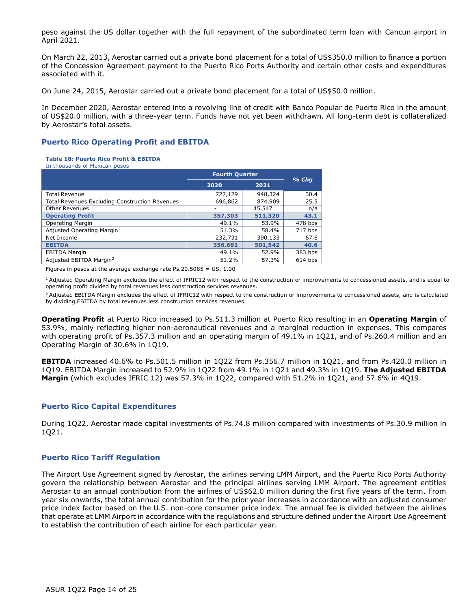peso against the US dollar together with the full repayment of the subordinated term loan with Cancun airport in April 2021.

On March 22, 2013, Aerostar carried out a private bond placement for a total of US\$350.0 million to finance a portion of the Concession Agreement payment to the Puerto Rico Ports Authority and certain other costs and expenditures associated with it.

On June 24, 2015, Aerostar carried out a private bond placement for a total of US\$50.0 million.

In December 2020, Aerostar entered into a revolving line of credit with Banco Popular de Puerto Rico in the amount of US\$20.0 million, with a three-year term. Funds have not yet been withdrawn. All long-term debt is collateralized by Aerostar's total assets.

#### **Puerto Rico Operating Profit and EBITDA**

#### **Table 18: Puerto Rico Profit & EBITDA**

In thousands of Mexican pesos

|                                                       | <b>Fourth Quarter</b> |         |         |
|-------------------------------------------------------|-----------------------|---------|---------|
|                                                       | 2020                  | 2021    | $%$ Chq |
| <b>Total Revenue</b>                                  | 727,129               | 948,324 | 30.4    |
| <b>Total Revenues Excluding Construction Revenues</b> | 696,862               | 874,909 | 25.5    |
| <b>Other Revenues</b>                                 | ۰                     | 45,547  | n/a     |
| <b>Operating Profit</b>                               | 357,303               | 511,320 | 43.1    |
| <b>Operating Margin</b>                               | 49.1%                 | 53.9%   | 478 bps |
| Adjusted Operating Margin <sup>1</sup>                | 51.3%                 | 58.4%   | 717 bps |
| Net Income                                            | 232,731               | 390,133 | 67.6    |
| <b>EBITDA</b>                                         | 356,681               | 501,542 | 40.6    |
| <b>EBITDA Margin</b>                                  | 49.1%                 | 52.9%   | 383 bps |
| Adjusted EBITDA Margin <sup>2</sup>                   | 51.2%                 | 57.3%   | 614 bps |

Figures in pesos at the average exchange rate  $Ps.20.5085 = US. 1.00$ 

<sup>1</sup> Adjusted Operating Margin excludes the effect of IFRIC12 with respect to the construction or improvements to concessioned assets, and is equal to operating profit divided by total revenues less construction services revenues.

<sup>2</sup> Adjusted EBITDA Margin excludes the effect of IFRIC12 with respect to the construction or improvements to concessioned assets, and is calculated by dividing EBITDA by total revenues less construction services revenues.

**Operating Profit** at Puerto Rico increased to Ps.511.3 million at Puerto Rico resulting in an **Operating Margin** of 53.9%, mainly reflecting higher non-aeronautical revenues and a marginal reduction in expenses. This compares with operating profit of Ps.357.3 million and an operating margin of 49.1% in 1Q21, and of Ps.260.4 million and an Operating Margin of 30.6% in 1Q19.

**EBITDA** increased 40.6% to Ps.501.5 million in 1Q22 from Ps.356.7 million in 1Q21, and from Ps.420.0 million in 1Q19. EBITDA Margin increased to 52.9% in 1Q22 from 49.1% in 1Q21 and 49.3% in 1Q19. **The Adjusted EBITDA Margin** (which excludes IFRIC 12) was 57.3% in 1Q22, compared with 51.2% in 1Q21, and 57.6% in 4Q19.

#### **Puerto Rico Capital Expenditures**

During 1Q22, Aerostar made capital investments of Ps.74.8 million compared with investments of Ps.30.9 million in 1Q21.

#### **Puerto Rico Tariff Regulation**

The Airport Use Agreement signed by Aerostar, the airlines serving LMM Airport, and the Puerto Rico Ports Authority govern the relationship between Aerostar and the principal airlines serving LMM Airport. The agreement entitles Aerostar to an annual contribution from the airlines of US\$62.0 million during the first five years of the term. From year six onwards, the total annual contribution for the prior year increases in accordance with an adjusted consumer price index factor based on the U.S. non-core consumer price index. The annual fee is divided between the airlines that operate at LMM Airport in accordance with the regulations and structure defined under the Airport Use Agreement to establish the contribution of each airline for each particular year.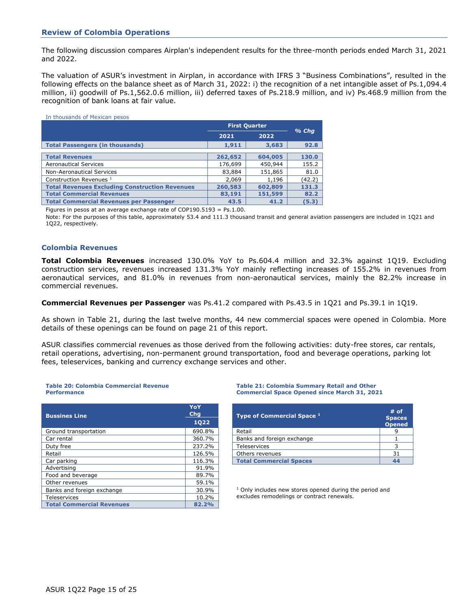#### **Review of Colombia Operations**

The following discussion compares Airplan's independent results for the three-month periods ended March 31, 2021 and 2022.

The valuation of ASUR's investment in Airplan, in accordance with IFRS 3 "Business Combinations", resulted in the following effects on the balance sheet as of March 31, 2022: i) the recognition of a net intangible asset of Ps.1,094.4 million, ii) goodwill of Ps.1,562.0.6 million, iii) deferred taxes of Ps.218.9 million, and iv) Ps.468.9 million from the recognition of bank loans at fair value.

| In thousands of Mexican pesos                         |                      |         |        |
|-------------------------------------------------------|----------------------|---------|--------|
|                                                       | <b>First Quarter</b> | $%$ Chq |        |
|                                                       | 2021                 | 2022    |        |
| <b>Total Passengers (in thousands)</b>                | 1,911                | 3,683   | 92.8   |
|                                                       |                      |         |        |
| <b>Total Revenues</b>                                 | 262,652              | 604,005 | 130.0  |
| <b>Aeronautical Services</b>                          | 176,699              | 450,944 | 155.2  |
| <b>Non-Aeronautical Services</b>                      | 83,884               | 151,865 | 81.0   |
| Construction Revenues <sup>1</sup>                    | 2,069                | 1,196   | (42.2) |
| <b>Total Revenues Excluding Construction Revenues</b> | 260,583              | 602,809 | 131.3  |
| <b>Total Commercial Revenues</b>                      | 83,191               | 151,599 | 82.2   |
| <b>Total Commercial Revenues per Passenger</b>        | 43.5                 | 41.2    | (5.3)  |

Figures in pesos at an average exchange rate of COP190.5193 = Ps.1.00.

Note: For the purposes of this table, approximately 53.4 and 111.3 thousand transit and general aviation passengers are included in 1Q21 and 1Q22, respectively.

#### **Colombia Revenues**

**Total Colombia Revenues** increased 130.0% YoY to Ps.604.4 million and 32.3% against 1Q19. Excluding construction services, revenues increased 131.3% YoY mainly reflecting increases of 155.2% in revenues from aeronautical services, and 81.0% in revenues from non-aeronautical services, mainly the 82.2% increase in commercial revenues.

**Commercial Revenues per Passenger** was Ps.41.2 compared with Ps.43.5 in 1Q21 and Ps.39.1 in 1Q19.

As shown in Table 21, during the last twelve months, 44 new commercial spaces were opened in Colombia. More details of these openings can be found on page 21 of this report.

ASUR classifies commercial revenues as those derived from the following activities: duty-free stores, car rentals, retail operations, advertising, non-permanent ground transportation, food and beverage operations, parking lot fees, teleservices, banking and currency exchange services and other.

#### **Table 20: Colombia Commercial Revenue Performance**

| <b>Bussines Line</b>             | YoY<br><b>Chg</b> | Type of Commercial Space <sup>1</sup>                              | # <sub>c</sub><br><b>Spac</b> |
|----------------------------------|-------------------|--------------------------------------------------------------------|-------------------------------|
|                                  | 1022              |                                                                    | Oper                          |
| Ground transportation            | 690.8%            | Retail                                                             | 9                             |
| Car rental                       | 360.7%            | Banks and foreign exchange                                         |                               |
| Duty free                        | 237.2%            | <b>Teleservices</b>                                                | 3                             |
| Retail                           | 126.5%            | Others revenues                                                    | 31                            |
| Car parking                      | 116.3%            | <b>Total Commercial Spaces</b>                                     | 44                            |
| Advertising                      | 91.9%             |                                                                    |                               |
| Food and beverage                | 89.7%             |                                                                    |                               |
| Other revenues                   | 59.1%             |                                                                    |                               |
| Banks and foreign exchange       | 30.9%             | <sup>1</sup> Only includes new stores opened during the period and |                               |
| Teleservices                     | 10.2%             | excludes remodelings or contract renewals.                         |                               |
| <b>Total Commercial Revenues</b> | 82.2%             |                                                                    |                               |

#### **Table 21: Colombia Summary Retail and Other Commercial Space Opened since March 31, 2021**

| YoY<br><b>Chg</b><br>1022 | Type of Commercial Space 1     | $#$ of<br><b>Spaces</b><br><b>Opened</b> |
|---------------------------|--------------------------------|------------------------------------------|
| 690.8%                    | Retail                         |                                          |
| 360.7%                    | Banks and foreign exchange     |                                          |
| 237.2%                    | <b>Teleservices</b>            |                                          |
| 126.5%                    | Others revenues                | 31                                       |
| 116.3%                    | <b>Total Commercial Spaces</b> | 44                                       |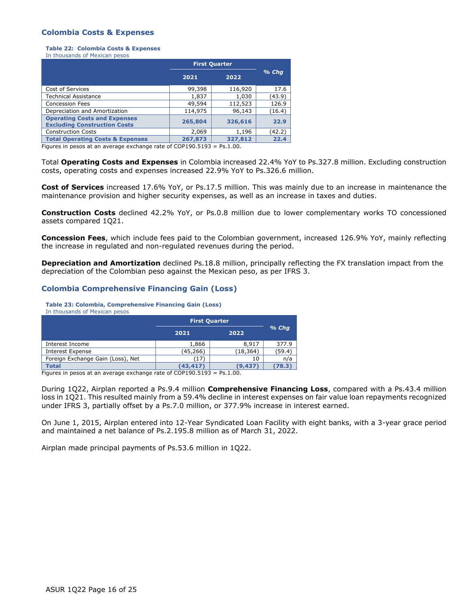#### **Colombia Costs & Expenses**

**Table 22: Colombia Costs & Expenses** In thousands of Mexican pesos

|                                                                            | <b>First Quarter</b> |         |         |
|----------------------------------------------------------------------------|----------------------|---------|---------|
|                                                                            | 2021                 | 2022    | $%$ Chq |
| Cost of Services                                                           | 99,398               | 116,920 | 17.6    |
| <b>Technical Assistance</b>                                                | 1,837                | 1,030   | (43.9)  |
| <b>Concession Fees</b>                                                     | 49,594               | 112,523 | 126.9   |
| Depreciation and Amortization                                              | 114,975              | 96,143  | (16.4)  |
| <b>Operating Costs and Expenses</b><br><b>Excluding Construction Costs</b> | 265,804              | 326,616 | 22.9    |
| <b>Construction Costs</b>                                                  | 2,069                | 1,196   | (42.2)  |
| <b>Total Operating Costs &amp; Expenses</b>                                | 267,873              | 327,812 | 22.4    |

Figures in pesos at an average exchange rate of COP190.5193 = Ps.1.00.

Total **Operating Costs and Expenses** in Colombia increased 22.4% YoY to Ps.327.8 million. Excluding construction costs, operating costs and expenses increased 22.9% YoY to Ps.326.6 million.

**Cost of Services** increased 17.6% YoY, or Ps.17.5 million. This was mainly due to an increase in maintenance the maintenance provision and higher security expenses, as well as an increase in taxes and duties.

**Construction Costs** declined 42.2% YoY, or Ps.0.8 million due to lower complementary works TO concessioned assets compared 1Q21.

**Concession Fees**, which include fees paid to the Colombian government, increased 126.9% YoY, mainly reflecting the increase in regulated and non-regulated revenues during the period.

**Depreciation and Amortization** declined Ps.18.8 million, principally reflecting the FX translation impact from the depreciation of the Colombian peso against the Mexican peso, as per IFRS 3.

#### **Colombia Comprehensive Financing Gain (Loss)**

**Table 23: Colombia, Comprehensive Financing Gain (Loss)**

In thousands of Mexican pesos

|                                   | <b>First Quarter</b> |          |         |
|-----------------------------------|----------------------|----------|---------|
|                                   | 2021                 | 2022     | $%$ Chq |
| Interest Income                   | 1,866                | 8,917    | 377.9   |
| Interest Expense                  | (45,266)             | (18,364) | (59.4)  |
| Foreign Exchange Gain (Loss), Net | (17)                 | 10       | n/a     |
| <b>Total</b>                      | (43,417)             | (9,437)  | (78.3)  |

Figures in pesos at an average exchange rate of COP190.5193 = Ps.1.00.

During 1Q22, Airplan reported a Ps.9.4 million **Comprehensive Financing Loss**, compared with a Ps.43.4 million loss in 1Q21. This resulted mainly from a 59.4% decline in interest expenses on fair value loan repayments recognized under IFRS 3, partially offset by a Ps.7.0 million, or 377.9% increase in interest earned.

On June 1, 2015, Airplan entered into 12-Year Syndicated Loan Facility with eight banks, with a 3-year grace period and maintained a net balance of Ps.2.195.8 million as of March 31, 2022.

Airplan made principal payments of Ps.53.6 million in 1Q22.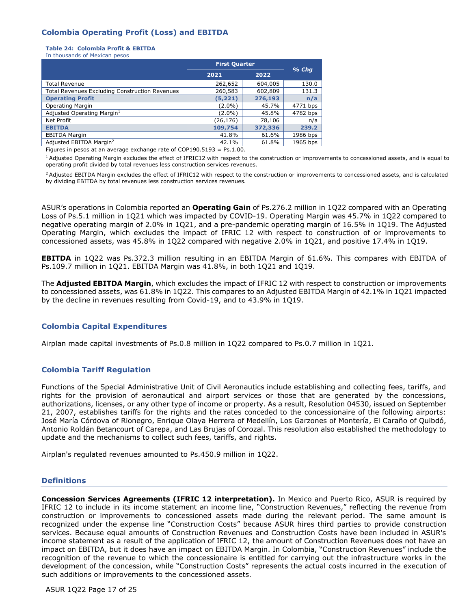# **Colombia Operating Profit (Loss) and EBITDA**

#### **Table 24: Colombia Profit & EBITDA**

In thousands of Mexican pesos

|                                                       | <b>First Quarter</b> |         | $%$ Chq  |
|-------------------------------------------------------|----------------------|---------|----------|
|                                                       | 2021                 | 2022    |          |
| <b>Total Revenue</b>                                  | 262,652              | 604,005 | 130.0    |
| <b>Total Revenues Excluding Construction Revenues</b> | 260,583              | 602,809 | 131.3    |
| <b>Operating Profit</b>                               | (5, 221)             | 276,193 | n/a      |
| <b>Operating Margin</b>                               | $(2.0\%)$            | 45.7%   | 4771 bps |
| Adjusted Operating Margin <sup>1</sup>                | $(2.0\%)$            | 45.8%   | 4782 bps |
| Net Profit                                            | (26,176)             | 78,106  | n/a      |
| <b>EBITDA</b>                                         | 109,754              | 372,336 | 239.2    |
| <b>EBITDA Margin</b>                                  | 41.8%                | 61.6%   | 1986 bps |
| Adjusted EBITDA Margin <sup>2</sup>                   | 42.1%                | 61.8%   | 1965 bps |

Figures in pesos at an average exchange rate of COP190.5193 = Ps.1.00.

<sup>1</sup> Adjusted Operating Margin excludes the effect of IFRIC12 with respect to the construction or improvements to concessioned assets, and is equal to operating profit divided by total revenues less construction services revenues.

<sup>2</sup> Adjusted EBITDA Margin excludes the effect of IFRIC12 with respect to the construction or improvements to concessioned assets, and is calculated by dividing EBITDA by total revenues less construction services revenues.

ASUR's operations in Colombia reported an **Operating Gain** of Ps.276.2 million in 1Q22 compared with an Operating Loss of Ps.5.1 million in 1Q21 which was impacted by COVID-19. Operating Margin was 45.7% in 1Q22 compared to negative operating margin of 2.0% in 1Q21, and a pre-pandemic operating margin of 16.5% in 1Q19. The Adjusted Operating Margin, which excludes the impact of IFRIC 12 with respect to construction of or improvements to concessioned assets, was 45.8% in 1Q22 compared with negative 2.0% in 1Q21, and positive 17.4% in 1Q19.

**EBITDA** in 1Q22 was Ps.372.3 million resulting in an EBITDA Margin of 61.6%. This compares with EBITDA of Ps.109.7 million in 1Q21. EBITDA Margin was 41.8%, in both 1Q21 and 1Q19.

The **Adjusted EBITDA Margin**, which excludes the impact of IFRIC 12 with respect to construction or improvements to concessioned assets, was 61.8% in 1Q22. This compares to an Adjusted EBITDA Margin of 42.1% in 1Q21 impacted by the decline in revenues resulting from Covid-19, and to 43.9% in 1Q19.

#### **Colombia Capital Expenditures**

Airplan made capital investments of Ps.0.8 million in 1Q22 compared to Ps.0.7 million in 1Q21.

#### **Colombia Tariff Regulation**

Functions of the Special Administrative Unit of Civil Aeronautics include establishing and collecting fees, tariffs, and rights for the provision of aeronautical and airport services or those that are generated by the concessions, authorizations, licenses, or any other type of income or property. As a result, Resolution 04530, issued on September 21, 2007, establishes tariffs for the rights and the rates conceded to the concessionaire of the following airports: José María Córdova of Rionegro, Enrique Olaya Herrera of Medellín, Los Garzones of Montería, El Caraño of Quibdó, Antonio Roldán Betancourt of Carepa, and Las Brujas of Corozal. This resolution also established the methodology to update and the mechanisms to collect such fees, tariffs, and rights.

Airplan's regulated revenues amounted to Ps.450.9 million in 1Q22.

#### **Definitions**

**Concession Services Agreements (IFRIC 12 interpretation).** In Mexico and Puerto Rico, ASUR is required by IFRIC 12 to include in its income statement an income line, "Construction Revenues," reflecting the revenue from construction or improvements to concessioned assets made during the relevant period. The same amount is recognized under the expense line "Construction Costs" because ASUR hires third parties to provide construction services. Because equal amounts of Construction Revenues and Construction Costs have been included in ASUR's income statement as a result of the application of IFRIC 12, the amount of Construction Revenues does not have an impact on EBITDA, but it does have an impact on EBITDA Margin. In Colombia, "Construction Revenues" include the recognition of the revenue to which the concessionaire is entitled for carrying out the infrastructure works in the development of the concession, while "Construction Costs" represents the actual costs incurred in the execution of such additions or improvements to the concessioned assets.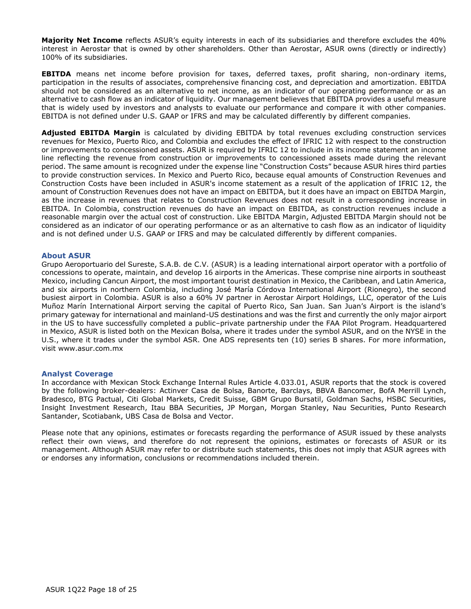**Majority Net Income** reflects ASUR's equity interests in each of its subsidiaries and therefore excludes the 40% interest in Aerostar that is owned by other shareholders. Other than Aerostar, ASUR owns (directly or indirectly) 100% of its subsidiaries.

**EBITDA** means net income before provision for taxes, deferred taxes, profit sharing, non-ordinary items, participation in the results of associates, comprehensive financing cost, and depreciation and amortization. EBITDA should not be considered as an alternative to net income, as an indicator of our operating performance or as an alternative to cash flow as an indicator of liquidity. Our management believes that EBITDA provides a useful measure that is widely used by investors and analysts to evaluate our performance and compare it with other companies. EBITDA is not defined under U.S. GAAP or IFRS and may be calculated differently by different companies.

**Adjusted EBITDA Margin** is calculated by dividing EBITDA by total revenues excluding construction services revenues for Mexico, Puerto Rico, and Colombia and excludes the effect of IFRIC 12 with respect to the construction or improvements to concessioned assets. ASUR is required by IFRIC 12 to include in its income statement an income line reflecting the revenue from construction or improvements to concessioned assets made during the relevant period. The same amount is recognized under the expense line "Construction Costs" because ASUR hires third parties to provide construction services. In Mexico and Puerto Rico, because equal amounts of Construction Revenues and Construction Costs have been included in ASUR's income statement as a result of the application of IFRIC 12, the amount of Construction Revenues does not have an impact on EBITDA, but it does have an impact on EBITDA Margin, as the increase in revenues that relates to Construction Revenues does not result in a corresponding increase in EBITDA. In Colombia, construction revenues do have an impact on EBITDA, as construction revenues include a reasonable margin over the actual cost of construction. Like EBITDA Margin, Adjusted EBITDA Margin should not be considered as an indicator of our operating performance or as an alternative to cash flow as an indicator of liquidity and is not defined under U.S. GAAP or IFRS and may be calculated differently by different companies.

#### **About ASUR**

Grupo Aeroportuario del Sureste, S.A.B. de C.V. (ASUR) is a leading international airport operator with a portfolio of concessions to operate, maintain, and develop 16 airports in the Americas. These comprise nine airports in southeast Mexico, including Cancun Airport, the most important tourist destination in Mexico, the Caribbean, and Latin America, and six airports in northern Colombia, including José María Córdova International Airport (Rionegro), the second busiest airport in Colombia. ASUR is also a 60% JV partner in Aerostar Airport Holdings, LLC, operator of the Luis Muñoz Marín International Airport serving the capital of Puerto Rico, San Juan. San Juan's Airport is the island's primary gateway for international and mainland-US destinations and was the first and currently the only major airport in the US to have successfully completed a public–private partnership under the FAA Pilot Program. Headquartered in Mexico, ASUR is listed both on the Mexican Bolsa, where it trades under the symbol ASUR, and on the NYSE in the U.S., where it trades under the symbol ASR. One ADS represents ten (10) series B shares. For more information, visit [www.asur.com.mx](file:///C:/Users/jsearle/AppData/Local/Microsoft/AppData/Local/Microsoft/Windows/INetCache/Content.Outlook/WU62ENHU/www.asur.com.mx)

#### **Analyst Coverage**

In accordance with Mexican Stock Exchange Internal Rules Article 4.033.01, ASUR reports that the stock is covered by the following broker-dealers: Actinver Casa de Bolsa, Banorte, Barclays, BBVA Bancomer, BofA Merrill Lynch, Bradesco, BTG Pactual, Citi Global Markets, Credit Suisse, GBM Grupo Bursatil, Goldman Sachs, HSBC Securities, Insight Investment Research, Itau BBA Securities, JP Morgan, Morgan Stanley, Nau Securities, Punto Research Santander, Scotiabank, UBS Casa de Bolsa and Vector.

Please note that any opinions, estimates or forecasts regarding the performance of ASUR issued by these analysts reflect their own views, and therefore do not represent the opinions, estimates or forecasts of ASUR or its management. Although ASUR may refer to or distribute such statements, this does not imply that ASUR agrees with or endorses any information, conclusions or recommendations included therein.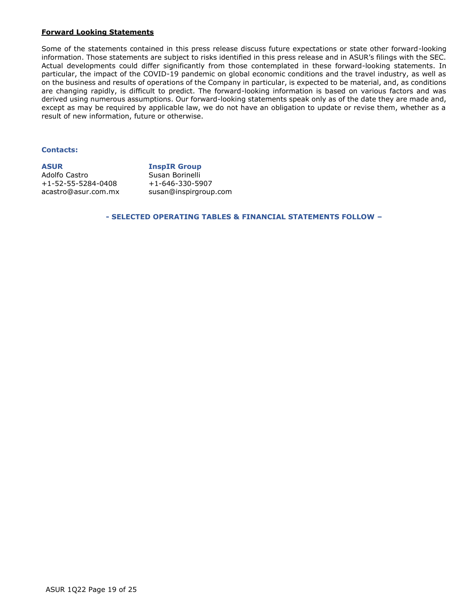#### **Forward Looking Statements**

Some of the statements contained in this press release discuss future expectations or state other forward-looking information. Those statements are subject to risks identified in this press release and in ASUR's filings with the SEC. Actual developments could differ significantly from those contemplated in these forward-looking statements. In particular, the impact of the COVID-19 pandemic on global economic conditions and the travel industry, as well as on the business and results of operations of the Company in particular, is expected to be material, and, as conditions are changing rapidly, is difficult to predict. The forward-looking information is based on various factors and was derived using numerous assumptions. Our forward-looking statements speak only as of the date they are made and, except as may be required by applicable law, we do not have an obligation to update or revise them, whether as a result of new information, future or otherwise.

### **Contacts:**

**ASUR** Adolfo Castro +1-52-55-5284-0408 acastro@asur.com.mx **InspIR Group**  Susan Borinelli +1-646-330-5907 [susan@inspirgroup.com](mailto:susan@inspirgroup.com)

**- SELECTED OPERATING TABLES & FINANCIAL STATEMENTS FOLLOW –**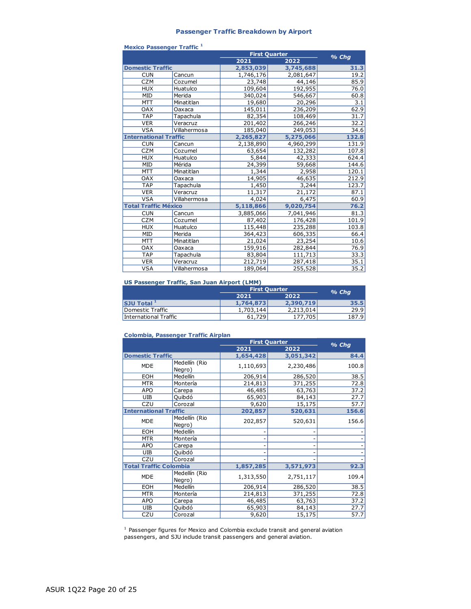#### **Passenger Traffic Breakdown by Airport**

|                              |              | <b>First Quarter</b> | % Chg     |                  |
|------------------------------|--------------|----------------------|-----------|------------------|
|                              |              | 2021                 | 2022      |                  |
| <b>Domestic Traffic</b>      |              | 2,853,039            | 3,745,688 | 31.3             |
| <b>CUN</b>                   | Cancun       | 1,746,176            | 2,081,647 | 19.2             |
| <b>CZM</b>                   | Cozumel      | 23,748               | 44,146    | 85.9             |
| <b>HUX</b>                   | Huatulco     | 109,604              | 192,955   | 76.0             |
| MID                          | Merida       | 340,024              | 546,667   | 60.8             |
| <b>MTT</b>                   | Minatitlan   | 19,680               | 20,296    | $\overline{3.1}$ |
| <b>OAX</b>                   | Oaxaca       | 145,011              | 236,209   | 62.9             |
| <b>TAP</b>                   | Tapachula    | 82,354               | 108,469   | 31.7             |
| <b>VER</b>                   | Veracruz     | 201,402              | 266,246   | 32.2             |
| <b>VSA</b>                   | Villahermosa | 185,040              | 249,053   | 34.6             |
| <b>International Traffic</b> |              | 2,265,827            | 5,275,066 | 132.8            |
| <b>CUN</b>                   | Cancun       | 2,138,890            | 4,960,299 | 131.9            |
| <b>CZM</b>                   | Cozumel      | 63,654               | 132,282   | 107.8            |
| <b>HUX</b>                   | Huatulco     | 5,844                | 42,333    | 624.4            |
| MID                          | Mérida       | 24,399               | 59,668    | 144.6            |
| <b>MTT</b>                   | Minatitlan   | 1,344                | 2,958     | 120.1            |
| <b>OAX</b>                   | Oaxaca       | 14,905               | 46,635    | 212.9            |
| <b>TAP</b>                   | Tapachula    | 1,450                | 3,244     | 123.7            |
| <b>VER</b>                   | Veracruz     | 11,317               | 21,172    | 87.1             |
| <b>VSA</b>                   | Villahermosa | 4,024                | 6,475     | 60.9             |
| <b>Total Traffic México</b>  |              | 5,118,866            | 9,020,754 | 76.2             |
| <b>CUN</b>                   | Cancun       | 3,885,066            | 7,041,946 | 81.3             |
| <b>CZM</b>                   | Cozumel      | 87,402               | 176,428   | 101.9            |
| <b>HUX</b>                   | Huatulco     | 115,448              | 235,288   | 103.8            |
| <b>MID</b>                   | Merida       | 364,423              | 606,335   | 66.4             |
| <b>MTT</b>                   | Minatitlan   | 21,024               | 23,254    | 10.6             |
| <b>OAX</b>                   | Oaxaca       | 159,916              | 282,844   | 76.9             |
| <b>TAP</b>                   | Tapachula    | 83,804               | 111,713   | 33.3             |
| <b>VER</b>                   | Veracruz     | 212,719              | 287,418   | 35.1             |
| <b>VSA</b>                   | Villahermosa | 189,064              | 255,528   | 35.2             |

#### **Mexico Passenger Traffic <sup>1</sup>**

#### **US Passenger Traffic, San Juan Airport (LMM)**

|                       | <b>First Quarter</b> | $%$ Cha   |       |  |
|-----------------------|----------------------|-----------|-------|--|
|                       | 2021                 | 2022      |       |  |
| $ $ SJU Total $ ^{1}$ | 1,764,873            | 2,390,719 | 35.5  |  |
| Domestic Traffic      | 1,703,144            | 2,213,014 | 29.91 |  |
| International Traffic | 61,729               | 177,705   | 187.9 |  |

#### **Colombia, Passenger Traffic Airplan**

|                               |                         | <b>First Quarter</b> |           | $%$ Chg |
|-------------------------------|-------------------------|----------------------|-----------|---------|
|                               |                         | 2021                 | 2022      |         |
| <b>Domestic Traffic</b>       |                         | 1,654,428            | 3,051,342 | 84.4    |
| <b>MDE</b>                    | Medellín (Rio<br>Negro) | 1,110,693            | 2,230,486 | 100.8   |
| EOH                           | Medellín                | 206,914              | 286,520   | 38.5    |
| <b>MTR</b>                    | Montería                | 214,813              | 371,255   | 72.8    |
| <b>APO</b>                    | Carepa                  | 46,485               | 63,763    | 37.2    |
| UIB                           | Quibdó                  | 65,903               | 84,143    | 27.7    |
| CZU                           | Corozal                 | 9,620                | 15,175    | 57.7    |
| <b>International Traffic</b>  |                         | 202,857              | 520,631   | 156.6   |
| <b>MDE</b>                    | Medellín (Rio<br>Negro) | 202,857              | 520,631   | 156.6   |
| EOH                           | Medellín                |                      |           |         |
| <b>MTR</b>                    | Montería                |                      |           |         |
| <b>APO</b>                    | Carepa                  |                      |           |         |
| UIB                           | Quibdó                  |                      |           |         |
| CZU                           | Corozal                 |                      |           |         |
| <b>Total Traffic Colombia</b> |                         | 1,857,285            | 3,571,973 | 92.3    |
| <b>MDE</b>                    | Medellín (Rio<br>Negro) | 1,313,550            | 2,751,117 | 109.4   |
| EOH                           | Medellín                | 206,914              | 286,520   | 38.5    |
| <b>MTR</b>                    | Montería                | 214,813              | 371,255   | 72.8    |
| <b>APO</b>                    | Carepa                  | 46,485               | 63,763    | 37.2    |
| UIB                           | Quibdó                  | 65,903               | 84,143    | 27.7    |
| CZU                           | Corozal                 | 9,620                | 15,175    | 57.7    |

<sup>1</sup> Passenger figures for Mexico and Colombia exclude transit and general aviation passengers, and SJU include transit passengers and general aviation.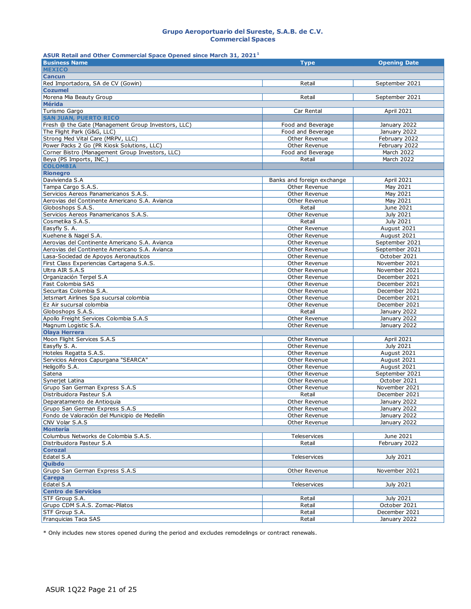#### **Grupo Aeroportuario del Sureste, S.A.B. de C.V. Commercial Spaces**

**ASUR Retail and Other Commercial Space Opened since March 31, 2021<sup>1</sup>**

| <b>Business Name</b>                                                            | <b>Type</b>                        | <b>Opening Date</b>            |
|---------------------------------------------------------------------------------|------------------------------------|--------------------------------|
| <b>MEXICO</b>                                                                   |                                    |                                |
| <b>Cancun</b>                                                                   |                                    |                                |
| Red Importadora, SA de CV (Gowin)                                               | Retail                             | September 2021                 |
| <b>Cozumel</b>                                                                  |                                    |                                |
| Morena Mia Beauty Group                                                         | Retail                             | September 2021                 |
| <b>Mérida</b>                                                                   |                                    |                                |
| Turismo Gargo                                                                   | Car Rental                         | April 2021                     |
| <b>SAN JUAN, PUERTO RICO</b>                                                    |                                    |                                |
| Fresh @ the Gate (Management Group Investors, LLC)                              | Food and Beverage                  | January 2022                   |
| The Flight Park (G&G, LLC)                                                      | Food and Beverage<br>Other Revenue | January 2022                   |
| Strong Med Vital Care (MRPV, LLC)<br>Power Packs 2 Go (PR Kiosk Solutions, LLC) | Other Revenue                      | February 2022<br>February 2022 |
| Corner Bistro (Management Group Investors, LLC)                                 | Food and Beverage                  | March 2022                     |
| Beya (PS Imports, INC.)                                                         | Retail                             | March 2022                     |
| <b>COLOMBIA</b>                                                                 |                                    |                                |
| <b>Rionegro</b>                                                                 |                                    |                                |
| Davivienda S.A                                                                  | Banks and foreign exchange         | April 2021                     |
| Tampa Cargo S.A.S.                                                              | Other Revenue                      | May 2021                       |
| Servicios Aereos Panamericanos S.A.S.                                           | Other Revenue                      | May 2021                       |
| Aerovias del Continente Americano S.A. Avianca                                  | Other Revenue                      | May 2021                       |
| Globoshops S.A.S.                                                               | Retail                             | June 2021                      |
| Servicios Aereos Panamericanos S.A.S.                                           | Other Revenue                      | July 2021                      |
| Cosmetika S.A.S.                                                                | Retail                             | July 2021                      |
| Easyfly S. A.                                                                   | Other Revenue                      | August 2021                    |
| Kuehene & Nagel S.A.                                                            | Other Revenue                      | August 2021                    |
| Aerovias del Continente Americano S.A. Avianca                                  | Other Revenue                      | September 2021                 |
| Aerovias del Continente Americano S.A. Avianca                                  | Other Revenue                      | September 2021                 |
| Lasa-Sociedad de Apoyos Aeronauticos                                            | Other Revenue                      | October 2021                   |
| First Class Experiencias Cartagena S.A.S.                                       | Other Revenue                      | November 2021                  |
| Ultra AIR S.A.S                                                                 | Other Revenue                      | November 2021                  |
| Organización Terpel S.A                                                         | Other Revenue                      | December 2021                  |
| Fast Colombia SAS                                                               | Other Revenue                      | December 2021                  |
| Securitas Colombia S.A.                                                         | Other Revenue                      | December 2021                  |
| Jetsmart Airlines Spa sucursal colombia                                         | Other Revenue                      | December 2021                  |
| Ez Air sucursal colombia                                                        | Other Revenue                      | December 2021                  |
| Globoshops S.A.S.                                                               | Retail<br>Other Revenue            | January 2022                   |
| Apollo Freight Services Colombia S.A.S<br>Magnum Logistic S.A.                  | Other Revenue                      | January 2022<br>January 2022   |
| <b>Olaya Herrera</b>                                                            |                                    |                                |
| Moon Flight Services S.A.S                                                      | Other Revenue                      | <b>April 2021</b>              |
| Easyfly S. A.                                                                   | Other Revenue                      | July 2021                      |
| Hoteles Regatta S.A.S.                                                          | Other Revenue                      | August 2021                    |
| Servicios Aéreos Capurgana "SEARCA"                                             | Other Revenue                      | August 2021                    |
| Heligolfo S.A.                                                                  | Other Revenue                      | August 2021                    |
| Satena                                                                          | Other Revenue                      | September 2021                 |
| Synerjet Latina                                                                 | Other Revenue                      | October 2021                   |
| Grupo San German Express S.A.S                                                  | Other Revenue                      | November 2021                  |
| Distribuidora Pasteur S.A                                                       | Retail                             | December 2021                  |
| Deparatamento de Antioquia                                                      | Other Revenue                      | January 2022                   |
| Grupo San German Express S.A.S                                                  | Other Revenue                      | January 2022                   |
| Fondo de Valoración del Municipio de Medellín                                   | Other Revenue                      | January 2022                   |
| CNV Volar S.A.S                                                                 | Other Revenue                      | January 2022                   |
| <b>Montería</b>                                                                 |                                    |                                |
| Columbus Networks de Colombia S.A.S.                                            | Teleservices                       | June 2021                      |
| Distribuidora Pasteur S.A                                                       | Retail                             | February 2022                  |
| <b>Corozal</b>                                                                  |                                    |                                |
| Edatel S.A                                                                      | Teleservices                       | July 2021                      |
| <b>Quibdo</b>                                                                   |                                    |                                |
| Grupo San German Express S.A.S                                                  | Other Revenue                      | November 2021                  |
| <b>Carepa</b>                                                                   |                                    |                                |
| Edatel S.A<br><b>Centro de Servicios</b>                                        | Teleservices                       | July 2021                      |
| STF Group S.A.                                                                  | Retail                             | July 2021                      |
| Grupo CDM S.A.S. Zomac-Pilatos                                                  | Retail                             | October 2021                   |
| STF Group S.A.                                                                  | Retail                             | December 2021                  |
| Franquicias Taca SAS                                                            | Retail                             | January 2022                   |
|                                                                                 |                                    |                                |

\* Only includes new stores opened during the period and excludes remodelings or contract renewals.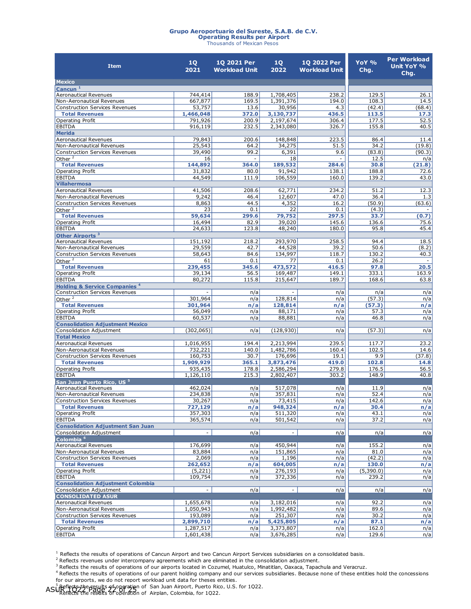# **Grupo Aeroportuario del Sureste, S.A.B. de C.V. Operating Results per Airport** Thousands of Mexican Pesos

| <b>Item</b>                                                        | 1Q<br>2021               | 1Q 2021 Per<br><b>Workload Unit</b> | 1Q<br>2022               | 1Q 2022 Per<br><b>Workload Unit</b> | YoY %<br>Chg.   | <b>Per Workload</b><br>Unit YoY %<br>Chg. |
|--------------------------------------------------------------------|--------------------------|-------------------------------------|--------------------------|-------------------------------------|-----------------|-------------------------------------------|
| <b>Mexico</b>                                                      |                          |                                     |                          |                                     |                 |                                           |
| Cancun <sup>1</sup>                                                |                          |                                     |                          |                                     |                 |                                           |
| <b>Aeronautical Revenues</b>                                       | 744,414                  | 188.9                               | 1,708,405                | 238.2                               | 129.5           | 26.1                                      |
| Non-Aeronautical Revenues<br><b>Construction Services Revenues</b> | 667,877<br>53,757        | 169.5<br>13.6                       | 1,391,376<br>30,956      | 194.0<br>4.3                        | 108.3<br>(42.4) | 14.5<br>(68.4)                            |
| <b>Total Revenues</b>                                              | 1,466,048                | 372.0                               | 3,130,737                | 436.5                               | 113.5           | 17.3                                      |
| Operating Profit                                                   | 791,926                  | 200.9                               | 2,197,674                | 306.4                               | 177.5           | 52.5                                      |
| EBITDA                                                             | 916,119                  | 232.5                               | 2,343,080                | 326.7                               | 155.8           | 40.5                                      |
| <b>Merida</b>                                                      |                          |                                     |                          |                                     |                 |                                           |
| <b>Aeronautical Revenues</b>                                       | 79,843                   | 200.6                               | 148,848                  | 223.5                               | 86.4            | 11.4                                      |
| Non-Aeronautical Revenues                                          | 25,543                   | 64.2                                | 34,275                   | 51.5                                | 34.2            | (19.8)                                    |
| <b>Construction Services Revenues</b>                              | 39,490                   | 99.2                                | 6,391                    | 9.6                                 | (83.8)          | (90.3)                                    |
| Other $^2$                                                         | 16                       | $\blacksquare$                      | 18                       | $\overline{\phantom{a}}$            | 12.5            | n/a                                       |
| <b>Total Revenues</b>                                              | 144,892                  | 364.0                               | 189,532                  | 284.6                               | 30.8<br>188.8   | (21.8)                                    |
| Operating Profit<br>EBITDA                                         | 31,832<br>44,549         | 80.0<br>111.9                       | 91,942<br>106,559        | 138.1<br>160.0                      | 139.2           | 72.6<br>43.0                              |
| <b>Villahermosa</b>                                                |                          |                                     |                          |                                     |                 |                                           |
| <b>Aeronautical Revenues</b>                                       | 41,506                   | 208.6                               | 62,771                   | 234.2                               | 51.2            | 12.3                                      |
| Non-Aeronautical Revenues                                          | 9,242                    | 46.4                                | 12,607                   | 47.0                                | 36.4            | 1.3                                       |
| <b>Construction Services Revenues</b>                              | 8,863                    | 44.5                                | 4,352                    | 16.2                                | (50.9)          | (63.6)                                    |
| Other $^2$                                                         | 23                       | 0.1                                 | 22                       | 0.1                                 | (4.3)           |                                           |
| <b>Total Revenues</b>                                              | 59,634                   | 299.6                               | 79,752                   | 297.5                               | 33.7            | (0.7)                                     |
| Operating Profit                                                   | 16,494                   | 82.9                                | 39,020                   | 145.6                               | 136.6           | 75.6                                      |
| EBITDA                                                             | 24,633                   | 123.8                               | 48,240                   | 180.0                               | 95.8            | 45.4                                      |
| Other Airports <sup>3</sup>                                        |                          |                                     |                          |                                     |                 |                                           |
| <b>Aeronautical Revenues</b>                                       | 151,192                  | 218.2                               | 293,970                  | 258.5                               | 94.4            | 18.5                                      |
| Non-Aeronautical Revenues                                          | 29,559                   | 42.7                                | 44,528                   | 39.2                                | 50.6            | (8.2)                                     |
| <b>Construction Services Revenues</b>                              | 58,643                   | 84.6                                | 134,997                  | 118.7                               | 130.2           | 40.3                                      |
| Other $^2$                                                         | 61                       | 0.1                                 | 77                       | 0.1                                 | 26.2            | $\sim$                                    |
| <b>Total Revenues</b><br>Operating Profit                          | 239,455<br>39,134        | 345.6<br>56.5                       | 473,572<br>169,487       | 416.5<br>149.1                      | 97.8<br>333.1   | 20.5<br>163.9                             |
| EBITDA                                                             | 80,272                   | 115.8                               | 215,647                  | 189.7                               | 168.6           | 63.8                                      |
| <b>Holding &amp; Service Companies 4</b>                           |                          |                                     |                          |                                     |                 |                                           |
| <b>Construction Services Revenues</b>                              |                          | n/a                                 |                          | n/a                                 | n/a             | n/a                                       |
| Other $^2$                                                         | 301,964                  | n/a                                 | 128,814                  | n/a                                 | (57.3)          | n/a                                       |
| <b>Total Revenues</b>                                              | 301,964                  | n/a                                 | 128,814                  | n/a                                 | (57.3)          | n/a                                       |
| Operating Profit                                                   | 56,049                   | n/a                                 | 88,171                   | n/a                                 | 57.3            | n/a                                       |
| <b>EBITDA</b>                                                      | 60,537                   | n/a                                 | 88,881                   | n/a                                 | 46.8            | n/a                                       |
| <b>Consolidation Adjustment Mexico</b>                             |                          |                                     |                          |                                     |                 |                                           |
| Consolidation Adjustment                                           | (302,065)                | n/a                                 | (128, 930)               | n/a                                 | (57.3)          | n/a                                       |
| <b>Total Mexico</b>                                                |                          |                                     |                          |                                     |                 |                                           |
| <b>Aeronautical Revenues</b>                                       | 1,016,955                | 194.4                               | 2,213,994                | 239.5                               | 117.7<br>102.5  | 23.2                                      |
| Non-Aeronautical Revenues<br><b>Construction Services Revenues</b> | 732,221<br>160,753       | 140.0<br>30.7                       | 1,482,786<br>176,696     | 160.4<br>19.1                       | 9.9             | 14.6<br>(37.8)                            |
| <b>Total Revenues</b>                                              | 1,909,929                | 365.1                               | 3,873,476                | 419.0                               | 102.8           | 14.8                                      |
| Operating Profit                                                   | 935,435                  | 178.8                               | 2,586,294                | 279.8                               | 176.5           | 56.5                                      |
| EBITDA                                                             | 1,126,110                | 215.3                               | 2,802,407                | 303.2                               | 148.9           | 40.8                                      |
| San Juan Puerto Rico, US <sup>5</sup>                              |                          |                                     |                          |                                     |                 |                                           |
| <b>Aeronautical Revenues</b>                                       | 462,024                  | n/a                                 | 517,078                  | n/a                                 | 11.9            | n/a                                       |
| Non-Aeronautical Revenues                                          | 234,838                  | n/a                                 | 357,831                  | n/a                                 | 52.4            | n/a                                       |
| Construction Services Revenues                                     | 30,267                   | n/a                                 | 73,415                   | n/a                                 | 142.6           | n/a                                       |
| <b>Total Revenues</b>                                              | 727,129                  | n/a                                 | 948,324                  | n/a                                 | 30.4            | n/a                                       |
| Operating Profit                                                   | 357,303                  | n/a                                 | 511,320                  | n/a                                 | 43.1            | n/a                                       |
| <b>EBITDA</b>                                                      | 365,574                  | n/a                                 | 501,542                  | n/a                                 | 37.2            | n/a                                       |
| <b>Consolidation Adjustment San Juan</b>                           |                          |                                     |                          |                                     |                 |                                           |
| Consolidation Adjustment<br>Colombia <sup>6</sup>                  | $\overline{\phantom{a}}$ | n/a                                 | $\overline{\phantom{a}}$ | n/a                                 | n/a             | n/a                                       |
| <b>Aeronautical Revenues</b>                                       | 176,699                  | n/a                                 | 450,944                  | n/a                                 | 155.2           | n/a                                       |
| Non-Aeronautical Revenues                                          | 83,884                   | n/a                                 | 151,865                  | n/a                                 | 81.0            | n/a                                       |
| <b>Construction Services Revenues</b>                              | 2,069                    | n/a                                 | 1,196                    | n/a                                 | (42.2)          | n/a                                       |
| <b>Total Revenues</b>                                              | 262,652                  | n/a                                 | 604,005                  | n/a                                 | 130.0           | n/a                                       |
| Operating Profit                                                   | (5,221)                  | n/a                                 | 276,193                  | n/a                                 | (5,390.0)       | n/a                                       |
| EBITDA                                                             | 109,754                  | n/a                                 | 372,336                  | n/a                                 | 239.2           | n/a                                       |
| <b>Consolidation Adjustment Colombia</b>                           |                          |                                     |                          |                                     |                 |                                           |
| Consolidation Adjustment                                           | $\overline{\phantom{a}}$ | n/a                                 | $\blacksquare$           | n/a                                 | n/a             | n/a                                       |
| <b>CONSOLIDATED ASUR</b>                                           |                          |                                     |                          |                                     |                 |                                           |
| <b>Aeronautical Revenues</b>                                       | 1,655,678                | n/a                                 | 3,182,016                | n/a                                 | 92.2            | n/a                                       |
| Non-Aeronautical Revenues                                          | 1,050,943                | n/a                                 | 1,992,482                | n/a                                 | 89.6            | n/a                                       |
| <b>Construction Services Revenues</b>                              | 193,089                  | n/a                                 | 251,307                  | n/a                                 | 30.2            | n/a                                       |
| <b>Total Revenues</b>                                              | 2,899,710                | n/a                                 | 5,425,805                | n/a                                 | 87.1            | n/a                                       |
| Operating Profit                                                   | 1,287,517                | n/a                                 | 3,373,807                | n/a                                 | 162.0           | n/a                                       |
| <b>EBITDA</b>                                                      | 1,601,438                | n/a                                 | 3,676,285                | n/a                                 | 129.6           | n/a                                       |

 $^1$  Reflects the results of operations of Cancun Airport and two Cancun Airport Services subsidiaries on a consolidated basis.

<sup>2</sup> Reflects revenues under intercompany agreements which are eliminated in the consolidation adjustment.

3 Reflects the results of operations of our airports located in Cozumel, Huatulco, Minatitlan, Oaxaca, Tapachula and Veracruz.

4 Reflects the results of operations of our parent holding company and our services subsidiaries. Because none of these entities hold the concessions for our airports, we do not report workload unit data for theses entities.

 $ASU<sub>2</sub>$  Reflects the results of operation of San Juan Airport, Puerto Rico, U.S. for 1022.<br> $ASU<sub>2</sub>$  Reflect of Page 22 or 22 or 22 or 0 or 200 philosophia, for 1022

<sup>6</sup>Reflects the results of operation of Airplan, Colombia, for 1Q22.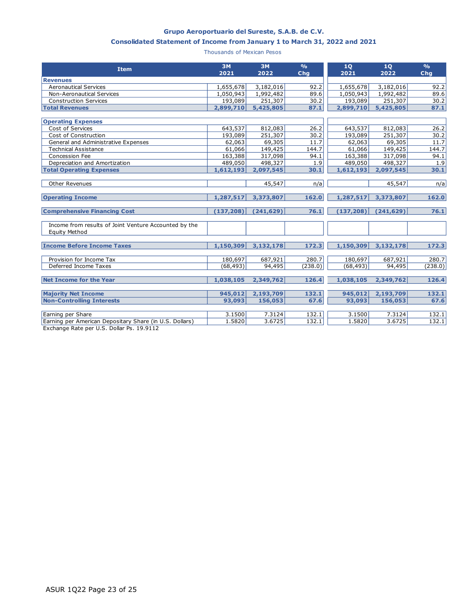#### **Grupo Aeroportuario del Sureste, S.A.B. de C.V.**

#### **Consolidated Statement of Income from January 1 to March 31, 2022 and 2021**

Thousands of Mexican Pesos

| <b>Item</b>                                                                   | <b>3M</b><br>2021 | <b>3M</b><br>2022 | $\frac{0}{0}$<br>Chq | 1Q<br>2021 | 1Q<br>2022 | O/6<br>Chq |
|-------------------------------------------------------------------------------|-------------------|-------------------|----------------------|------------|------------|------------|
| <b>Revenues</b>                                                               |                   |                   |                      |            |            |            |
| <b>Aeronautical Services</b>                                                  | 1,655,678         | 3,182,016         | 92.2                 | 1,655,678  | 3,182,016  | 92.2       |
| <b>Non-Aeronautical Services</b>                                              | 1,050,943         | 1,992,482         | 89.6                 | 1,050,943  | 1,992,482  | 89.6       |
| <b>Construction Services</b>                                                  | 193,089           | 251,307           | 30.2                 | 193,089    | 251,307    | 30.2       |
| <b>Total Revenues</b>                                                         | 2,899,710         | 5,425,805         | 87.1                 | 2,899,710  | 5,425,805  | 87.1       |
| <b>Operating Expenses</b>                                                     |                   |                   |                      |            |            |            |
| Cost of Services                                                              | 643,537           | 812,083           | 26.2                 | 643,537    | 812,083    | 26.2       |
| Cost of Construction                                                          | 193,089           | 251,307           | 30.2                 | 193,089    | 251,307    | 30.2       |
| General and Administrative Expenses                                           | 62,063            | 69,305            | 11.7                 | 62,063     | 69,305     | 11.7       |
| <b>Technical Assistance</b>                                                   | 61,066            | 149,425           | 144.7                | 61,066     | 149,425    | 144.7      |
| Concession Fee                                                                | 163,388           | 317,098           | 94.1                 | 163,388    | 317,098    | 94.1       |
| Depreciation and Amortization                                                 | 489,050           | 498,327           | 1.9                  | 489,050    | 498,327    | 1.9        |
| <b>Total Operating Expenses</b>                                               | 1,612,193         | 2,097,545         | 30.1                 | 1,612,193  | 2,097,545  | 30.1       |
|                                                                               |                   |                   |                      |            |            |            |
| <b>Other Revenues</b>                                                         |                   | 45,547            | n/a                  |            | 45,547     | n/a        |
| <b>Operating Income</b>                                                       | 1,287,517         | 3,373,807         | 162.0                | 1,287,517  | 3,373,807  | 162.0      |
|                                                                               |                   |                   |                      |            |            |            |
| <b>Comprehensive Financing Cost</b>                                           | (137, 208)        | (241, 629)        | 76.1                 | (137, 208) | (241, 629) | 76.1       |
| Income from results of Joint Venture Accounted by the<br><b>Equity Method</b> |                   |                   |                      |            |            |            |
| <b>Income Before Income Taxes</b>                                             | 1,150,309         | 3,132,178         | 172.3                | 1,150,309  | 3,132,178  | 172.3      |
|                                                                               |                   |                   |                      |            |            |            |
| Provision for Income Tax                                                      | 180,697           | 687,921           | 280.7                | 180,697    | 687,921    | 280.7      |
| Deferred Income Taxes                                                         | (68, 493)         | 94,495            | (238.0)              | (68, 493)  | 94,495     | (238.0)    |
| <b>Net Income for the Year</b>                                                | 1,038,105         | 2,349,762         | 126.4                | 1,038,105  | 2,349,762  | 126.4      |
| <b>Majority Net Income</b>                                                    | 945,012           | 2,193,709         | 132.1                | 945,012    | 2,193,709  | 132.1      |
| <b>Non-Controlling Interests</b>                                              | 93,093            | 156,053           | 67.6                 | 93,093     | 156,053    | 67.6       |
|                                                                               |                   |                   |                      |            |            |            |
| Earning per Share                                                             | 3.1500            | 7.3124            | 132.1                | 3.1500     | 7.3124     | 132.1      |
| Earning per American Depositary Share (in U.S. Dollars)                       | 1.5820            | 3.6725            | 132.1                | 1.5820     | 3.6725     | 132.1      |

Exchange Rate per U.S. Dollar Ps. 19.9112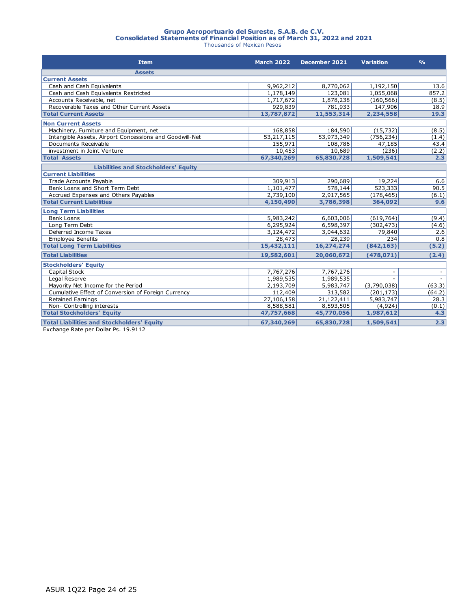# **Grupo Aeroportuario del Sureste, S.A.B. de C.V. Consolidated Statements of Financial Position as of March 31, 2022 and 2021** Thousands of Mexican Pesos

| <b>Item</b>                                             | <b>March 2022</b> | December 2021 | <b>Variation</b> | $\frac{O}{O}$ |
|---------------------------------------------------------|-------------------|---------------|------------------|---------------|
| <b>Assets</b>                                           |                   |               |                  |               |
| <b>Current Assets</b>                                   |                   |               |                  |               |
| Cash and Cash Equivalents                               | 9,962,212         | 8,770,062     | 1,192,150        | 13.6          |
| Cash and Cash Equivalents Restricted                    | 1,178,149         | 123,081       | 1,055,068        | 857.2         |
| Accounts Receivable, net                                | 1,717,672         | 1,878,238     | (160, 566)       | (8.5)         |
| Recoverable Taxes and Other Current Assets              | 929,839           | 781,933       | 147,906          | 18.9          |
| <b>Total Current Assets</b>                             | 13,787,872        | 11,553,314    | 2,234,558        | 19.3          |
| <b>Non Current Assets</b>                               |                   |               |                  |               |
| Machinery, Furniture and Equipment, net                 | 168,858           | 184,590       | (15, 732)        | (8.5)         |
| Intangible Assets, Airport Concessions and Goodwill-Net | 53,217,115        | 53,973,349    | (756, 234)       | (1.4)         |
| Documents Receivable                                    | 155,971           | 108,786       | 47,185           | 43.4          |
| investment in Joint Venture                             | 10,453            | 10,689        | (236)            | (2.2)         |
| <b>Total Assets</b>                                     | 67,340,269        | 65,830,728    | 1,509,541        | 2.3           |
| <b>Liabilities and Stockholders' Equity</b>             |                   |               |                  |               |
| <b>Current Liabilities</b>                              |                   |               |                  |               |
| <b>Trade Accounts Payable</b>                           | 309,913           | 290,689       | 19,224           | 6.6           |
| Bank Loans and Short Term Debt                          | 1,101,477         | 578,144       | 523,333          | 90.5          |
| Accrued Expenses and Others Payables                    | 2,739,100         | 2,917,565     | (178, 465)       | (6.1)         |
| <b>Total Current Liabilities</b>                        | 4,150,490         | 3,786,398     | 364,092          | 9.6           |
| <b>Long Term Liabilities</b>                            |                   |               |                  |               |
| <b>Bank Loans</b>                                       | 5,983,242         | 6,603,006     | (619, 764)       | (9.4)         |
| Long Term Debt                                          | 6,295,924         | 6,598,397     | (302, 473)       | (4.6)         |
| Deferred Income Taxes                                   | 3,124,472         | 3,044,632     | 79,840           | 2.6           |
| <b>Employee Benefits</b>                                | 28,473            | 28,239        | 234              | 0.8           |
| <b>Total Long Term Liabilities</b>                      | 15,432,111        | 16,274,274    | (842, 163)       | (5.2)         |
| <b>Total Liabilities</b>                                | 19,582,601        | 20,060,672    | (478, 071)       | (2.4)         |
| <b>Stockholders' Equity</b>                             |                   |               |                  |               |
| Capital Stock                                           | 7,767,276         | 7,767,276     |                  |               |
| Legal Reserve                                           | 1,989,535         | 1,989,535     |                  |               |
| Mayority Net Income for the Period                      | 2,193,709         | 5,983,747     | (3,790,038)      | (63.3)        |
| Cumulative Effect of Conversion of Foreign Currency     | 112,409           | 313,582       | (201, 173)       | (64.2)        |
| <b>Retained Earnings</b>                                | 27,106,158        | 21,122,411    | 5,983,747        | 28.3          |
| Non- Controlling interests                              | 8,588,581         | 8,593,505     | (4,924)          | (0.1)         |
| <b>Total Stockholders' Equity</b>                       | 47,757,668        | 45,770,056    | 1,987,612        | 4.3           |
| <b>Total Liabilities and Stockholders' Equity</b>       | 67,340,269        | 65,830,728    | 1,509,541        | 2.3           |

Exchange Rate per Dollar Ps. 19.9112